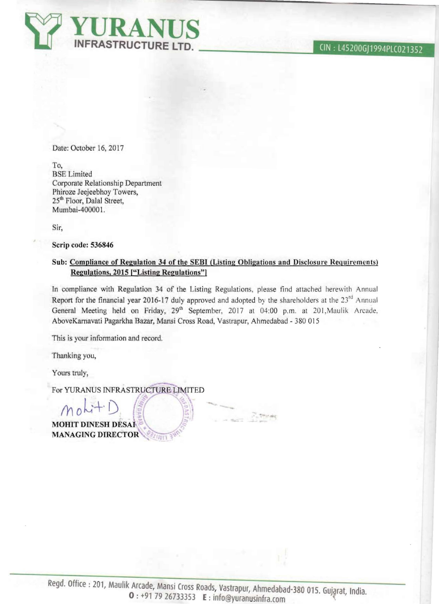Date: October 16, 2017

To, BSE Limited Corporate Relationship Department Phiroze Jeejeebhoy Towers, 25<sup>th</sup> Floor, Dalal Street, Mumbai-400001.

Sir,

**Scrip code: 536846** 

# **Sub: Compliance of Regulation 34 of the SEBI (Listing Obligations and Disclosure Requirements) Regulations, 2015 ["Listing Regulations"]**

**In** compliance with Regulation 34 of the Listing Regulations, please tind attached herewith Annual Report for the financial year 2016-17 duly approved and adopted by the shareholders at the  $23<sup>rd</sup>$  Annual General Meeting held on Friday, 29<sup>th</sup> September, 2017 at 04:00 p.m. at 201, Maulik Arcade. AboveKarnavati Pagarkha Bazar, Mansi Cross Road, Vastrapur, Ahmedabad - 380 015

This is your information and record.

Thanking you,

Yours truly,

For YURANUS INFRASTRUCTURE LIMITED

 $M_0$  bit D  $R$ **MOHlT DINESH DESAI MANAGING DIRECTOR**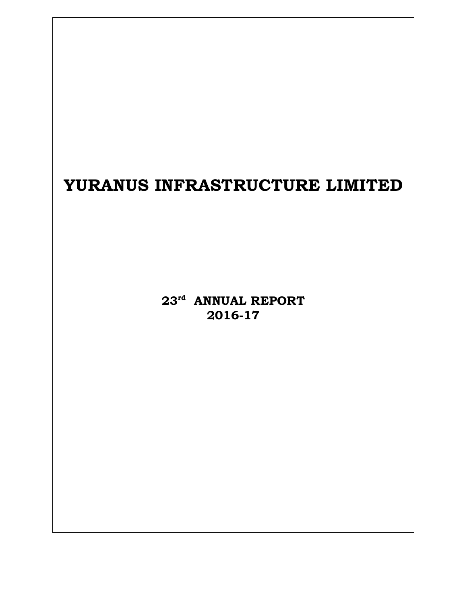# **YURANUS INFRASTRUCTURE LIMITED**

**23rd ANNUAL REPORT 2016-17**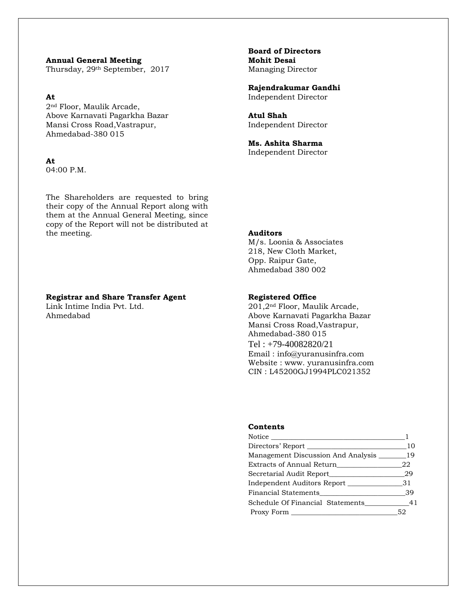**Annual General Meeting Mohit Desai**  Thursday, 29<sup>th</sup> September, 2017 Managing Director

2nd Floor, Maulik Arcade, Above Karnavati Pagarkha Bazar **Atul Shah**  Mansi Cross Road, Vastrapur, The Mansi Cross Road, Vastrapur, The Independent Director Ahmedabad-380 015

#### **At**

04:00 P.M.

The Shareholders are requested to bring their copy of the Annual Report along with them at the Annual General Meeting, since copy of the Report will not be distributed at the meeting. **Auditors** 

#### **Registrar and Share Transfer Agent 1988 Registered Office**

Link Intime India Pvt. Ltd. 201,2nd Floor, Maulik Arcade,

**Board of Directors** 

 **Rajendrakumar Gandhi At** Independent Director

 **Ms. Ashita Sharma**  Independent Director

 M/s. Loonia & Associates 218, New Cloth Market, Opp. Raipur Gate, Ahmedabad 380 002

Ahmedabad Above Karnavati Pagarkha Bazar Mansi Cross Road,Vastrapur, Ahmedabad-380 015 Tel : +79-40082820/21 Email : info@yuranusinfra.com Website : www. yuranusinfra.com CIN : L45200GJ1994PLC021352

#### **Contents**

| Notice and the set of the set of the set of the set of the set of the set of the set of the set of the set of the set of the set of the set of the set of the set of the set of the set of the set of the set of the set of th |    |
|--------------------------------------------------------------------------------------------------------------------------------------------------------------------------------------------------------------------------------|----|
| Directors' Report                                                                                                                                                                                                              | 10 |
| Management Discussion And Analysis ________ 19                                                                                                                                                                                 |    |
| Extracts of Annual Return                                                                                                                                                                                                      | 22 |
|                                                                                                                                                                                                                                | 29 |
| Independent Auditors Report 31                                                                                                                                                                                                 |    |
| Financial Statements                                                                                                                                                                                                           | 39 |
| Schedule Of Financial Statements                                                                                                                                                                                               | 41 |
| Proxy Form                                                                                                                                                                                                                     | 52 |
|                                                                                                                                                                                                                                |    |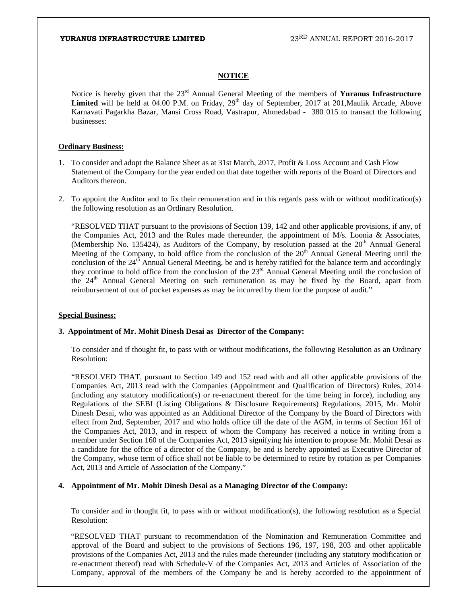#### **NOTICE**

Notice is hereby given that the 23rd Annual General Meeting of the members of **Yuranus Infrastructure**  Limited will be held at 04.00 P.M. on Friday, 29<sup>th</sup> day of September, 2017 at 201,Maulik Arcade, Above Karnavati Pagarkha Bazar, Mansi Cross Road, Vastrapur, Ahmedabad - 380 015 to transact the following businesses:

#### **Ordinary Business:**

- 1. To consider and adopt the Balance Sheet as at 31st March, 2017, Profit & Loss Account and Cash Flow Statement of the Company for the year ended on that date together with reports of the Board of Directors and Auditors thereon.
- 2. To appoint the Auditor and to fix their remuneration and in this regards pass with or without modification(s) the following resolution as an Ordinary Resolution.

"RESOLVED THAT pursuant to the provisions of Section 139, 142 and other applicable provisions, if any, of the Companies Act, 2013 and the Rules made thereunder, the appointment of M/s. Loonia & Associates, (Membership No. 135424), as Auditors of the Company, by resolution passed at the  $20<sup>th</sup>$  Annual General Meeting of the Company, to hold office from the conclusion of the  $20<sup>th</sup>$  Annual General Meeting until the conclusion of the 24<sup>th</sup> Annual General Meeting, be and is hereby ratified for the balance term and accordingly they continue to hold office from the conclusion of the  $23<sup>rd</sup>$  Annual General Meeting until the conclusion of the  $24<sup>th</sup>$  Annual General Meeting on such remuneration as may be fixed by the Board, apart from reimbursement of out of pocket expenses as may be incurred by them for the purpose of audit."

#### **Special Business:**

#### **3. Appointment of Mr. Mohit Dinesh Desai as Director of the Company:**

To consider and if thought fit, to pass with or without modifications, the following Resolution as an Ordinary Resolution:

"RESOLVED THAT, pursuant to Section 149 and 152 read with and all other applicable provisions of the Companies Act, 2013 read with the Companies (Appointment and Qualification of Directors) Rules, 2014 (including any statutory modification(s) or re-enactment thereof for the time being in force), including any Regulations of the SEBI (Listing Obligations & Disclosure Requirements) Regulations, 2015, Mr. Mohit Dinesh Desai, who was appointed as an Additional Director of the Company by the Board of Directors with effect from 2nd, September, 2017 and who holds office till the date of the AGM, in terms of Section 161 of the Companies Act, 2013, and in respect of whom the Company has received a notice in writing from a member under Section 160 of the Companies Act, 2013 signifying his intention to propose Mr. Mohit Desai as a candidate for the office of a director of the Company, be and is hereby appointed as Executive Director of the Company, whose term of office shall not be liable to be determined to retire by rotation as per Companies Act, 2013 and Article of Association of the Company."

#### **4. Appointment of Mr. Mohit Dinesh Desai as a Managing Director of the Company:**

 To consider and in thought fit, to pass with or without modification(s), the following resolution as a Special Resolution:

"RESOLVED THAT pursuant to recommendation of the Nomination and Remuneration Committee and approval of the Board and subject to the provisions of Sections 196, 197, 198, 203 and other applicable provisions of the Companies Act, 2013 and the rules made thereunder (including any statutory modification or re-enactment thereof) read with Schedule-V of the Companies Act, 2013 and Articles of Association of the Company, approval of the members of the Company be and is hereby accorded to the appointment of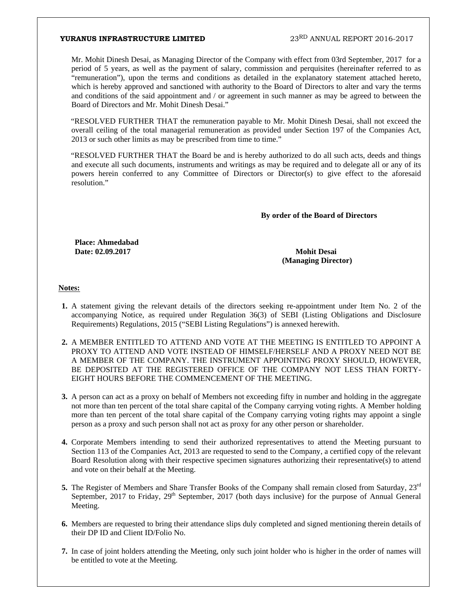Mr. Mohit Dinesh Desai, as Managing Director of the Company with effect from 03rd September, 2017 for a period of 5 years, as well as the payment of salary, commission and perquisites (hereinafter referred to as "remuneration"), upon the terms and conditions as detailed in the explanatory statement attached hereto, which is hereby approved and sanctioned with authority to the Board of Directors to alter and vary the terms and conditions of the said appointment and / or agreement in such manner as may be agreed to between the Board of Directors and Mr. Mohit Dinesh Desai."

"RESOLVED FURTHER THAT the remuneration payable to Mr. Mohit Dinesh Desai, shall not exceed the overall ceiling of the total managerial remuneration as provided under Section 197 of the Companies Act, 2013 or such other limits as may be prescribed from time to time."

"RESOLVED FURTHER THAT the Board be and is hereby authorized to do all such acts, deeds and things and execute all such documents, instruments and writings as may be required and to delegate all or any of its powers herein conferred to any Committee of Directors or Director(s) to give effect to the aforesaid resolution."

#### **By order of the Board of Directors**

**Place: Ahmedabad Date: 02.09.2017 Mohit Desai** 

 **(Managing Director)** 

#### **Notes:**

- **1.** A statement giving the relevant details of the directors seeking re-appointment under Item No. 2 of the accompanying Notice, as required under Regulation 36(3) of SEBI (Listing Obligations and Disclosure Requirements) Regulations, 2015 ("SEBI Listing Regulations") is annexed herewith.
- **2.** A MEMBER ENTITLED TO ATTEND AND VOTE AT THE MEETING IS ENTITLED TO APPOINT A PROXY TO ATTEND AND VOTE INSTEAD OF HIMSELF/HERSELF AND A PROXY NEED NOT BE A MEMBER OF THE COMPANY. THE INSTRUMENT APPOINTING PROXY SHOULD, HOWEVER, BE DEPOSITED AT THE REGISTERED OFFICE OF THE COMPANY NOT LESS THAN FORTY-EIGHT HOURS BEFORE THE COMMENCEMENT OF THE MEETING.
- **3.** A person can act as a proxy on behalf of Members not exceeding fifty in number and holding in the aggregate not more than ten percent of the total share capital of the Company carrying voting rights. A Member holding more than ten percent of the total share capital of the Company carrying voting rights may appoint a single person as a proxy and such person shall not act as proxy for any other person or shareholder.
- **4.** Corporate Members intending to send their authorized representatives to attend the Meeting pursuant to Section 113 of the Companies Act, 2013 are requested to send to the Company, a certified copy of the relevant Board Resolution along with their respective specimen signatures authorizing their representative(s) to attend and vote on their behalf at the Meeting.
- **5.** The Register of Members and Share Transfer Books of the Company shall remain closed from Saturday, 23<sup>rd</sup> September, 2017 to Friday,  $29<sup>th</sup>$  September, 2017 (both days inclusive) for the purpose of Annual General Meeting.
- **6.** Members are requested to bring their attendance slips duly completed and signed mentioning therein details of their DP ID and Client ID/Folio No.
- **7.** In case of joint holders attending the Meeting, only such joint holder who is higher in the order of names will be entitled to vote at the Meeting.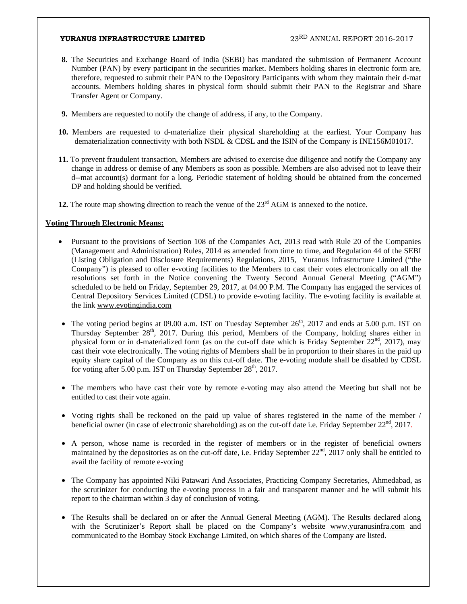- **8.** The Securities and Exchange Board of India (SEBI) has mandated the submission of Permanent Account Number (PAN) by every participant in the securities market. Members holding shares in electronic form are, therefore, requested to submit their PAN to the Depository Participants with whom they maintain their d-mat accounts. Members holding shares in physical form should submit their PAN to the Registrar and Share Transfer Agent or Company.
- **9.** Members are requested to notify the change of address, if any, to the Company.
- **10.** Members are requested to d-materialize their physical shareholding at the earliest. Your Company has dematerialization connectivity with both NSDL & CDSL and the ISIN of the Company is INE156M01017.
- **11.** To prevent fraudulent transaction, Members are advised to exercise due diligence and notify the Company any change in address or demise of any Members as soon as possible. Members are also advised not to leave their d--mat account(s) dormant for a long. Periodic statement of holding should be obtained from the concerned DP and holding should be verified.
- **12.** The route map showing direction to reach the venue of the  $23<sup>rd</sup>$  AGM is annexed to the notice.

### **Voting Through Electronic Means:**

- Pursuant to the provisions of Section 108 of the Companies Act, 2013 read with Rule 20 of the Companies (Management and Administration) Rules, 2014 as amended from time to time, and Regulation 44 of the SEBI (Listing Obligation and Disclosure Requirements) Regulations, 2015, Yuranus Infrastructure Limited ("the Company") is pleased to offer e-voting facilities to the Members to cast their votes electronically on all the resolutions set forth in the Notice convening the Twenty Second Annual General Meeting ("AGM") scheduled to be held on Friday, September 29, 2017, at 04.00 P.M. The Company has engaged the services of Central Depository Services Limited (CDSL) to provide e-voting facility. The e-voting facility is available at the link www.evotingindia.com
- The voting period begins at 09.00 a.m. IST on Tuesday September 26<sup>th</sup>, 2017 and ends at 5.00 p.m. IST on Thursday September  $28<sup>th</sup>$ , 2017. During this period, Members of the Company, holding shares either in physical form or in d-materialized form (as on the cut-off date which is Friday September  $22<sup>nd</sup>$ , 2017), may cast their vote electronically. The voting rights of Members shall be in proportion to their shares in the paid up equity share capital of the Company as on this cut-off date. The e-voting module shall be disabled by CDSL for voting after 5.00 p.m. IST on Thursday September  $28<sup>th</sup>$ , 2017.
- The members who have cast their vote by remote e-voting may also attend the Meeting but shall not be entitled to cast their vote again.
- Voting rights shall be reckoned on the paid up value of shares registered in the name of the member / beneficial owner (in case of electronic shareholding) as on the cut-off date i.e. Friday September 22<sup>nd</sup>, 2017.
- A person, whose name is recorded in the register of members or in the register of beneficial owners maintained by the depositories as on the cut-off date, i.e. Friday September  $22<sup>nd</sup>$ , 2017 only shall be entitled to avail the facility of remote e-voting
- The Company has appointed Niki Patawari And Associates, Practicing Company Secretaries, Ahmedabad, as the scrutinizer for conducting the e-voting process in a fair and transparent manner and he will submit his report to the chairman within 3 day of conclusion of voting.
- The Results shall be declared on or after the Annual General Meeting (AGM). The Results declared along with the Scrutinizer's Report shall be placed on the Company's website www.yuranusinfra.com and communicated to the Bombay Stock Exchange Limited, on which shares of the Company are listed.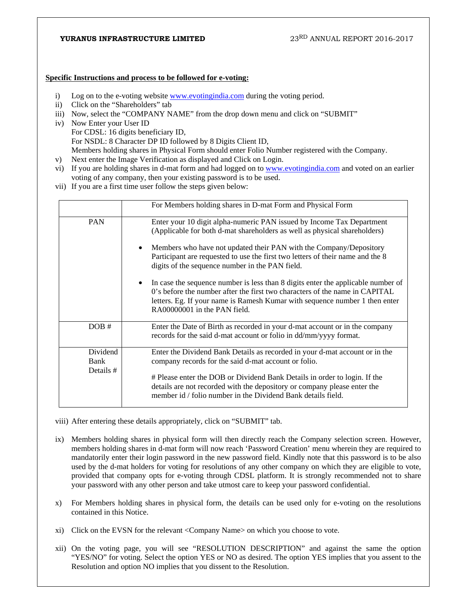#### **Specific Instructions and process to be followed for e-voting:**

- i) Log on to the e-voting website **www.evotingindia.com** during the voting period.
- ii) Click on the "Shareholders" tab
- iii) Now, select the "COMPANY NAME" from the drop down menu and click on "SUBMIT"
- iv) Now Enter your User ID For CDSL: 16 digits beneficiary ID, For NSDL: 8 Character DP ID followed by 8 Digits Client ID, Members holding shares in Physical Form should enter Folio Number registered with the Company.
- v) Next enter the Image Verification as displayed and Click on Login.
- vi) If you are holding shares in d-mat form and had logged on to www.evotingindia.com and voted on an earlier voting of any company, then your existing password is to be used.
- vii) If you are a first time user follow the steps given below:

|                               | For Members holding shares in D-mat Form and Physical Form                                                                                                                                                                                                                                                                                                                                                                                                                                                                                                                                                                                      |
|-------------------------------|-------------------------------------------------------------------------------------------------------------------------------------------------------------------------------------------------------------------------------------------------------------------------------------------------------------------------------------------------------------------------------------------------------------------------------------------------------------------------------------------------------------------------------------------------------------------------------------------------------------------------------------------------|
| <b>PAN</b>                    | Enter your 10 digit alpha-numeric PAN issued by Income Tax Department<br>(Applicable for both d-mat shareholders as well as physical shareholders)<br>Members who have not updated their PAN with the Company/Depository<br>Participant are requested to use the first two letters of their name and the 8<br>digits of the sequence number in the PAN field.<br>In case the sequence number is less than 8 digits enter the applicable number of<br>0's before the number after the first two characters of the name in CAPITAL<br>letters. Eg. If your name is Ramesh Kumar with sequence number 1 then enter<br>RA00000001 in the PAN field. |
| DOB#                          | Enter the Date of Birth as recorded in your d-mat account or in the company<br>records for the said d-mat account or folio in dd/mm/yyyy format.                                                                                                                                                                                                                                                                                                                                                                                                                                                                                                |
| Dividend<br>Bank<br>Details # | Enter the Dividend Bank Details as recorded in your d-mat account or in the<br>company records for the said d-mat account or folio.<br># Please enter the DOB or Dividend Bank Details in order to login. If the<br>details are not recorded with the depository or company please enter the<br>member id / folio number in the Dividend Bank details field.                                                                                                                                                                                                                                                                                    |

- viii) After entering these details appropriately, click on "SUBMIT" tab.
- ix) Members holding shares in physical form will then directly reach the Company selection screen. However, members holding shares in d-mat form will now reach 'Password Creation' menu wherein they are required to mandatorily enter their login password in the new password field. Kindly note that this password is to be also used by the d-mat holders for voting for resolutions of any other company on which they are eligible to vote, provided that company opts for e-voting through CDSL platform. It is strongly recommended not to share your password with any other person and take utmost care to keep your password confidential.
- x) For Members holding shares in physical form, the details can be used only for e-voting on the resolutions contained in this Notice.
- xi) Click on the EVSN for the relevant <Company Name> on which you choose to vote.
- xii) On the voting page, you will see "RESOLUTION DESCRIPTION" and against the same the option "YES/NO" for voting. Select the option YES or NO as desired. The option YES implies that you assent to the Resolution and option NO implies that you dissent to the Resolution.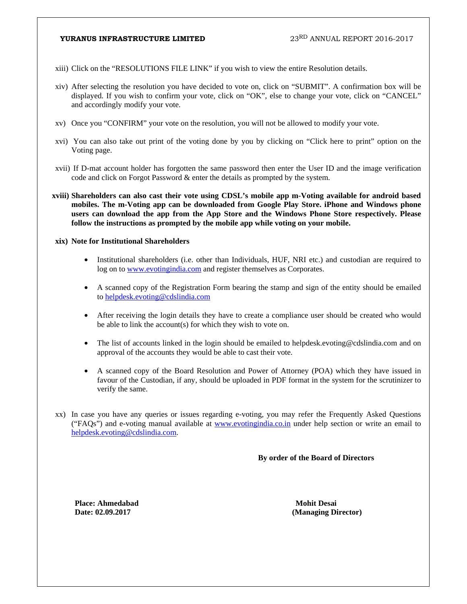- xiii) Click on the "RESOLUTIONS FILE LINK" if you wish to view the entire Resolution details.
- xiv) After selecting the resolution you have decided to vote on, click on "SUBMIT". A confirmation box will be displayed. If you wish to confirm your vote, click on "OK", else to change your vote, click on "CANCEL" and accordingly modify your vote.
- xv) Once you "CONFIRM" your vote on the resolution, you will not be allowed to modify your vote.
- xvi) You can also take out print of the voting done by you by clicking on "Click here to print" option on the Voting page.
- xvii) If D-mat account holder has forgotten the same password then enter the User ID and the image verification code and click on Forgot Password & enter the details as prompted by the system.
- **xviii) Shareholders can also cast their vote using CDSL's mobile app m-Voting available for android based mobiles. The m-Voting app can be downloaded from Google Play Store. iPhone and Windows phone users can download the app from the App Store and the Windows Phone Store respectively. Please follow the instructions as prompted by the mobile app while voting on your mobile.**

#### **xix) Note for Institutional Shareholders**

- Institutional shareholders (i.e. other than Individuals, HUF, NRI etc.) and custodian are required to log on to www.evotingindia.com and register themselves as Corporates.
- A scanned copy of the Registration Form bearing the stamp and sign of the entity should be emailed to helpdesk.evoting@cdslindia.com
- After receiving the login details they have to create a compliance user should be created who would be able to link the account(s) for which they wish to vote on.
- The list of accounts linked in the login should be emailed to helpdesk.evoting@cdslindia.com and on approval of the accounts they would be able to cast their vote.
- A scanned copy of the Board Resolution and Power of Attorney (POA) which they have issued in favour of the Custodian, if any, should be uploaded in PDF format in the system for the scrutinizer to verify the same.
- xx) In case you have any queries or issues regarding e-voting, you may refer the Frequently Asked Questions ("FAQs") and e-voting manual available at www.evotingindia.co.in under help section or write an email to helpdesk.evoting@cdslindia.com.

**By order of the Board of Directors** 

**Place: Ahmedabad Mohit Desai** 

**Date: 02.09.2017 (Managing Director)**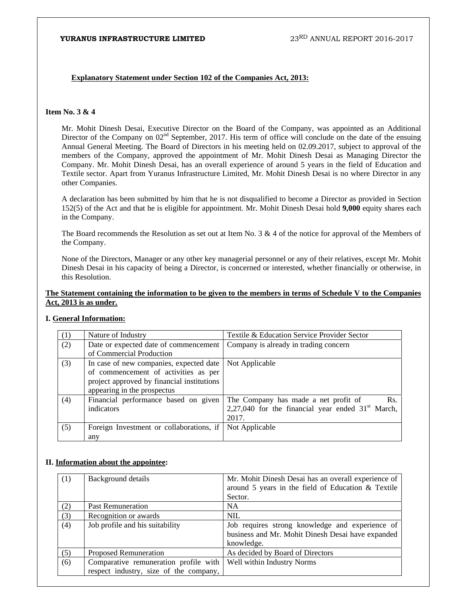#### **Explanatory Statement under Section 102 of the Companies Act, 2013:**

#### **Item No. 3 & 4**

Mr. Mohit Dinesh Desai, Executive Director on the Board of the Company, was appointed as an Additional Director of the Company on 02<sup>nd</sup> September, 2017. His term of office will conclude on the date of the ensuing Annual General Meeting. The Board of Directors in his meeting held on 02.09.2017, subject to approval of the members of the Company, approved the appointment of Mr. Mohit Dinesh Desai as Managing Director the Company. Mr. Mohit Dinesh Desai, has an overall experience of around 5 years in the field of Education and Textile sector. Apart from Yuranus Infrastructure Limited, Mr. Mohit Dinesh Desai is no where Director in any other Companies.

A declaration has been submitted by him that he is not disqualified to become a Director as provided in Section 152(5) of the Act and that he is eligible for appointment. Mr. Mohit Dinesh Desai hold **9,000** equity shares each in the Company.

The Board recommends the Resolution as set out at Item No. 3 & 4 of the notice for approval of the Members of the Company.

None of the Directors, Manager or any other key managerial personnel or any of their relatives, except Mr. Mohit Dinesh Desai in his capacity of being a Director, is concerned or interested, whether financially or otherwise, in this Resolution.

#### **The Statement containing the information to be given to the members in terms of Schedule V to the Companies Act, 2013 is as under.**

#### **I. General Information:**

| (1) | Nature of Industry                         | Textile & Education Service Provider Sector         |
|-----|--------------------------------------------|-----------------------------------------------------|
| (2) | Date or expected date of commencement      | Company is already in trading concern               |
|     | of Commercial Production                   |                                                     |
| (3) | In case of new companies, expected date    | Not Applicable                                      |
|     | of commencement of activities as per       |                                                     |
|     | project approved by financial institutions |                                                     |
|     | appearing in the prospectus                |                                                     |
| (4) | Financial performance based on given       | The Company has made a net profit of<br>Rs.         |
|     | indicators                                 | 2,27,040 for the financial year ended $31st$ March, |
|     |                                            | 2017.                                               |
| (5) | Foreign Investment or collaborations, if   | Not Applicable                                      |
|     | any                                        |                                                     |

#### **II. Information about the appointee:**

| (1) | Background details                                                              | Mr. Mohit Dinesh Desai has an overall experience of<br>around 5 years in the field of Education & Textile<br>Sector. |
|-----|---------------------------------------------------------------------------------|----------------------------------------------------------------------------------------------------------------------|
| (2) | <b>Past Remuneration</b>                                                        | NA                                                                                                                   |
| (3) | Recognition or awards                                                           | <b>NIL</b>                                                                                                           |
| (4) | Job profile and his suitability                                                 | Job requires strong knowledge and experience of<br>business and Mr. Mohit Dinesh Desai have expanded<br>knowledge.   |
| (5) | <b>Proposed Remuneration</b>                                                    | As decided by Board of Directors                                                                                     |
| (6) | Comparative remuneration profile with<br>respect industry, size of the company, | Well within Industry Norms                                                                                           |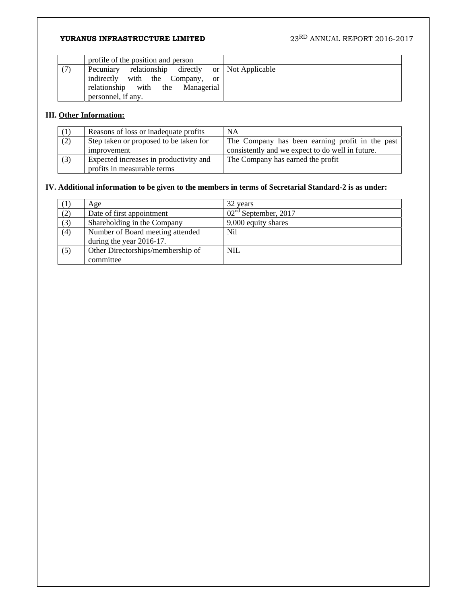| profile of the position and person                                                                                                                                     |  |
|------------------------------------------------------------------------------------------------------------------------------------------------------------------------|--|
| relationship directly or Not Applicable<br>(7)<br>Pecuniary<br>indirectly with the Company,<br><sub>or</sub><br>relationship with the Managerial<br>personnel, if any. |  |

# **III. Other Information:**

|     | Reasons of loss or inadequate profits  | <b>NA</b>                                        |
|-----|----------------------------------------|--------------------------------------------------|
| (2) | Step taken or proposed to be taken for | The Company has been earning profit in the past  |
|     | improvement                            | consistently and we expect to do well in future. |
| (3) | Expected increases in productivity and | The Company has earned the profit                |
|     | profits in measurable terms            |                                                  |

# **IV. Additional information to be given to the members in terms of Secretarial Standard-2 is as under:**

| (1) | Age                               | 32 years               |
|-----|-----------------------------------|------------------------|
| (2) | Date of first appointment         | $02nd$ September, 2017 |
| (3) | Shareholding in the Company       | 9,000 equity shares    |
| (4) | Number of Board meeting attended  | Nil                    |
|     | during the year 2016-17.          |                        |
| (5) | Other Directorships/membership of | <b>NIL</b>             |
|     | committee                         |                        |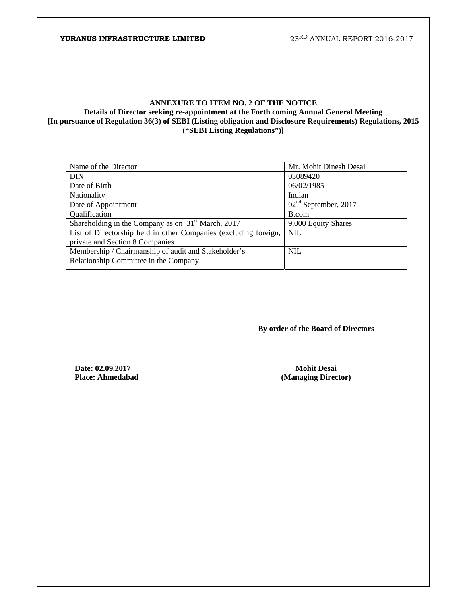#### **ANNEXURE TO ITEM NO. 2 OF THE NOTICE Details of Director seeking re-appointment at the Forth coming Annual General Meeting [In pursuance of Regulation 36(3) of SEBI (Listing obligation and Disclosure Requirements) Regulations, 2015 ("SEBI Listing Regulations")]**

| Mr. Mohit Dinesh Desai |
|------------------------|
| 03089420               |
| 06/02/1985             |
| Indian                 |
| $02nd$ September, 2017 |
| B.com                  |
| 9,000 Equity Shares    |
| <b>NIL</b>             |
|                        |
| NIL.                   |
|                        |
|                        |

 **By order of the Board of Directors** 

**Date: 02.09.2017** Mohit Desai **Mohit Desai Mohit Desai Place: Ahmedabad** (Managing Direc

**(Managing Director)**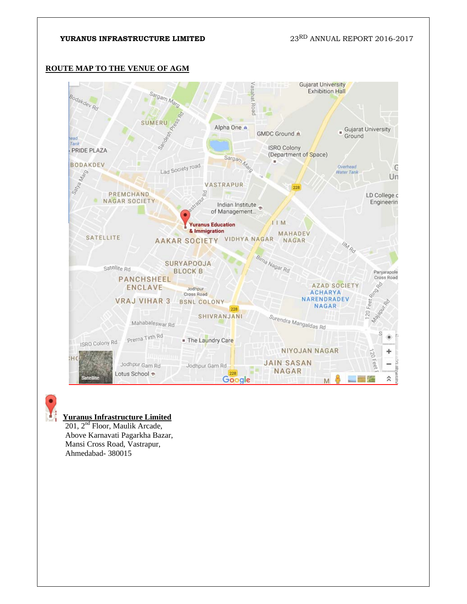# **ROUTE MAP TO THE VENUE OF AGM**



# **Yuranus Infrastructure Limited**

 201, 2nd Floor, Maulik Arcade, Above Karnavati Pagarkha Bazar, Mansi Cross Road, Vastrapur, Ahmedabad- 380015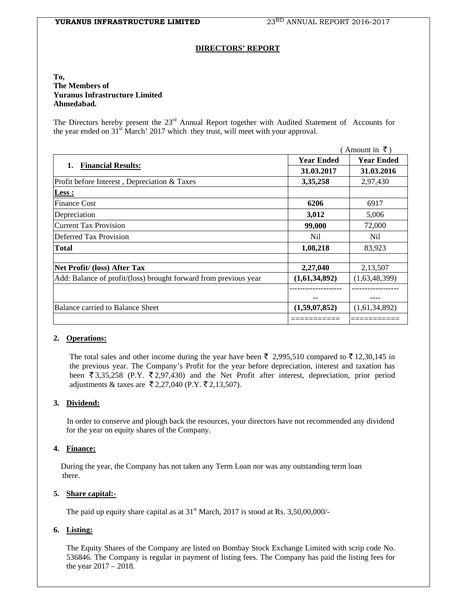#### **DIRECTORS' REPORT**

#### **To, The Members of Yuranus Infrastructure Limited Ahmedabad.**

The Directors hereby present the 23<sup>rd</sup> Annual Report together with Audited Statement of Accounts for the year ended on 31<sup>st</sup> March' 2017 which they trust, will meet with your approval.

|                                                                  |                   | Amount in $\bar{\tau}$ ) |
|------------------------------------------------------------------|-------------------|--------------------------|
|                                                                  | <b>Year Ended</b> | <b>Year Ended</b>        |
| <b>Financial Results:</b><br>1.                                  | 31.03.2017        | 31.03.2016               |
| Profit before Interest, Depreciation & Taxes                     | 3,35,258          | 2,97,430                 |
| Less :                                                           |                   |                          |
| <b>Finance Cost</b>                                              | 6206              | 6917                     |
| Depreciation                                                     | 3,012             | 5,006                    |
| <b>Current Tax Provision</b>                                     | 99,000            | 72,000                   |
| Deferred Tax Provision                                           | Nil.              | Nil                      |
| Total                                                            | 1,08,218          | 83,923                   |
| Net Profit/ (loss) After Tax                                     | 2,27,040          | 2,13,507                 |
| Add: Balance of profit/(loss) brought forward from previous year | (1,61,34,892)     | (1,63,48,399)            |
|                                                                  |                   |                          |
| <b>Balance carried to Balance Sheet</b>                          | (1,59,07,852)     | (1,61,34,892)            |
|                                                                  |                   |                          |

#### **2. Operations:**

The total sales and other income during the year have been  $\bar{\tau}$  2,995,510 compared to  $\bar{\tau}$  12,30,145 in the previous year. The Company's Profit for the year before depreciation, interest and taxation has been  $\overline{3}3,35,258$  (P.Y.  $\overline{5}2,97,430$ ) and the Net Profit after interest, depreciation, prior period adjustments & taxes are ₹2,27,040 (P.Y. ₹2,13,507).

#### **3. Dividend:**

 In order to conserve and plough back the resources, your directors have not recommended any dividend for the year on equity shares of the Company.

#### **4. Finance:**

During the year, the Company has not taken any Term Loan nor was any outstanding term loan there.

#### **5. Share capital:-**

The paid up equity share capital as at  $31<sup>st</sup>$  March, 2017 is stood at Rs. 3,50,00,000/-

### **6. Listing:**

The Equity Shares of the Company are listed on Bombay Stock Exchange Limited with scrip code No. 536846. The Company is regular in payment of listing fees. The Company has paid the listing fees for the year 2017 – 2018.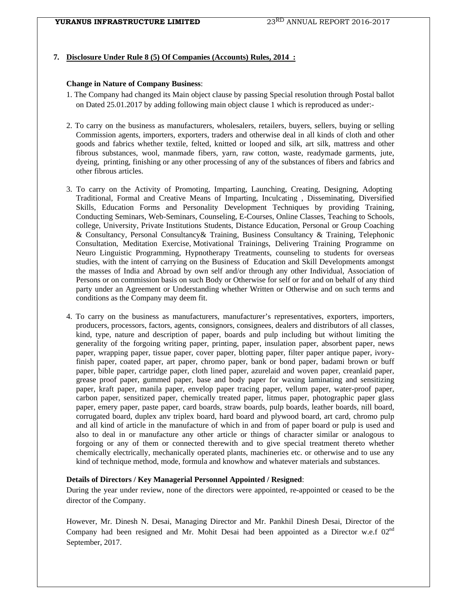#### **7. Disclosure Under Rule 8 (5) Of Companies (Accounts) Rules, 2014 :**

#### **Change in Nature of Company Business**:

- 1. The Company had changed its Main object clause by passing Special resolution through Postal ballot on Dated 25.01.2017 by adding following main object clause 1 which is reproduced as under:-
- 2. To carry on the business as manufacturers, wholesalers, retailers, buyers, sellers, buying or selling Commission agents, importers, exporters, traders and otherwise deal in all kinds of cloth and other goods and fabrics whether textile, felted, knitted or looped and silk, art silk, mattress and other fibrous substances, wool, manmade fibers, yarn, raw cotton, waste, readymade garments, jute, dyeing, printing, finishing or any other processing of any of the substances of fibers and fabrics and other fibrous articles.
- 3. To carry on the Activity of Promoting, Imparting, Launching, Creating, Designing, Adopting Traditional, Formal and Creative Means of Imparting, Inculcating , Disseminating, Diversified Skills, Education Forms and Personality Development Techniques by providing Training, Conducting Seminars, Web-Seminars, Counseling, E-Courses, Online Classes, Teaching to Schools, college, University, Private Institutions Students, Distance Education, Personal or Group Coaching & Consultancy, Personal Consultancy& Training, Business Consultancy & Training, Telephonic Consultation, Meditation Exercise, Motivational Trainings, Delivering Training Programme on Neuro Linguistic Programming, Hypnotherapy Treatments, counseling to students for overseas studies, with the intent of carrying on the Business of Education and Skill Developments amongst the masses of India and Abroad by own self and/or through any other Individual, Association of Persons or on commission basis on such Body or Otherwise for self or for and on behalf of any third party under an Agreement or Understanding whether Written or Otherwise and on such terms and conditions as the Company may deem fit.
- 4. To carry on the business as manufacturers, manufacturer's representatives, exporters, importers, producers, processors, factors, agents, consignors, consignees, dealers and distributors of all classes, kind, type, nature and description of paper, boards and pulp including but without limiting the generality of the forgoing writing paper, printing, paper, insulation paper, absorbent paper, news paper, wrapping paper, tissue paper, cover paper, blotting paper, filter paper antique paper, ivoryfinish paper, coated paper, art paper, chromo paper, bank or bond paper, badami brown or buff paper, bible paper, cartridge paper, cloth lined paper, azurelaid and woven paper, creanlaid paper, grease proof paper, gummed paper, base and body paper for waxing laminating and sensitizing paper, kraft paper, manila paper, envelop paper tracing paper, vellum paper, water-proof paper, carbon paper, sensitized paper, chemically treated paper, litmus paper, photographic paper glass paper, emery paper, paste paper, card boards, straw boards, pulp boards, leather boards, nill board, corrugated board, duplex anv triplex board, hard board and plywood board, art card, chromo pulp and all kind of article in the manufacture of which in and from of paper board or pulp is used and also to deal in or manufacture any other article or things of character similar or analogous to forgoing or any of them or connected therewith and to give special treatment thereto whether chemically electrically, mechanically operated plants, machineries etc. or otherwise and to use any kind of technique method, mode, formula and knowhow and whatever materials and substances.

#### **Details of Directors / Key Managerial Personnel Appointed / Resigned**:

During the year under review, none of the directors were appointed, re-appointed or ceased to be the director of the Company.

However, Mr. Dinesh N. Desai, Managing Director and Mr. Pankhil Dinesh Desai, Director of the Company had been resigned and Mr. Mohit Desai had been appointed as a Director w.e.f  $02^{nd}$ September, 2017.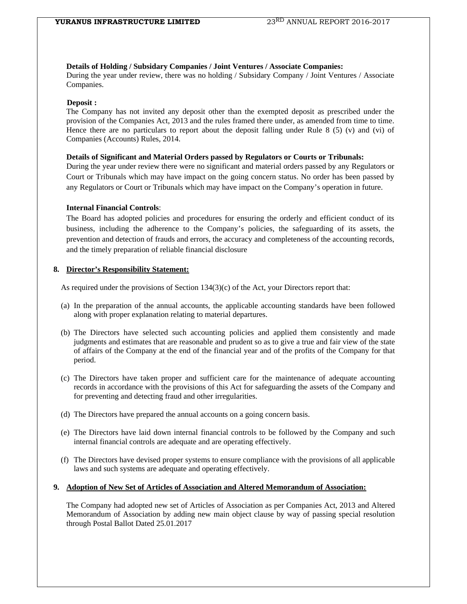#### **Details of Holding / Subsidary Companies / Joint Ventures / Associate Companies:**

During the year under review, there was no holding / Subsidary Company / Joint Ventures / Associate Companies.

#### **Deposit :**

The Company has not invited any deposit other than the exempted deposit as prescribed under the provision of the Companies Act, 2013 and the rules framed there under, as amended from time to time. Hence there are no particulars to report about the deposit falling under Rule 8 (5) (v) and (vi) of Companies (Accounts) Rules, 2014.

#### **Details of Significant and Material Orders passed by Regulators or Courts or Tribunals:**

During the year under review there were no significant and material orders passed by any Regulators or Court or Tribunals which may have impact on the going concern status. No order has been passed by any Regulators or Court or Tribunals which may have impact on the Company's operation in future.

#### **Internal Financial Controls**:

The Board has adopted policies and procedures for ensuring the orderly and efficient conduct of its business, including the adherence to the Company's policies, the safeguarding of its assets, the prevention and detection of frauds and errors, the accuracy and completeness of the accounting records, and the timely preparation of reliable financial disclosure

#### **8. Director's Responsibility Statement:**

As required under the provisions of Section 134(3)(c) of the Act, your Directors report that:

- (a) In the preparation of the annual accounts, the applicable accounting standards have been followed along with proper explanation relating to material departures.
- (b) The Directors have selected such accounting policies and applied them consistently and made judgments and estimates that are reasonable and prudent so as to give a true and fair view of the state of affairs of the Company at the end of the financial year and of the profits of the Company for that period.
- (c) The Directors have taken proper and sufficient care for the maintenance of adequate accounting records in accordance with the provisions of this Act for safeguarding the assets of the Company and for preventing and detecting fraud and other irregularities.
- (d) The Directors have prepared the annual accounts on a going concern basis.
- (e) The Directors have laid down internal financial controls to be followed by the Company and such internal financial controls are adequate and are operating effectively.
- (f) The Directors have devised proper systems to ensure compliance with the provisions of all applicable laws and such systems are adequate and operating effectively.

#### **9. Adoption of New Set of Articles of Association and Altered Memorandum of Association:**

The Company had adopted new set of Articles of Association as per Companies Act, 2013 and Altered Memorandum of Association by adding new main object clause by way of passing special resolution through Postal Ballot Dated 25.01.2017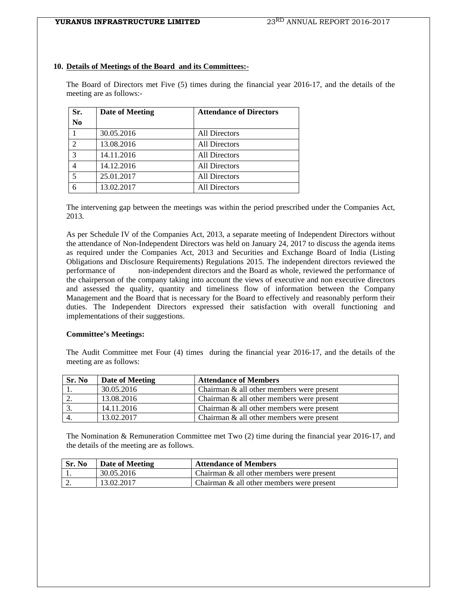#### **10. Details of Meetings of the Board and its Committees:-**

The Board of Directors met Five (5) times during the financial year 2016-17, and the details of the meeting are as follows:-

| Sr.            | <b>Date of Meeting</b> | <b>Attendance of Directors</b> |
|----------------|------------------------|--------------------------------|
| N <sub>0</sub> |                        |                                |
|                | 30.05.2016             | All Directors                  |
| $\overline{2}$ | 13.08.2016             | <b>All Directors</b>           |
| $\mathcal{R}$  | 14.11.2016             | <b>All Directors</b>           |
|                | 14.12.2016             | <b>All Directors</b>           |
| 5              | 25.01.2017             | <b>All Directors</b>           |
|                | 13.02.2017             | All Directors                  |

The intervening gap between the meetings was within the period prescribed under the Companies Act, 2013.

As per Schedule IV of the Companies Act, 2013, a separate meeting of Independent Directors without the attendance of Non-Independent Directors was held on January 24, 2017 to discuss the agenda items as required under the Companies Act, 2013 and Securities and Exchange Board of India (Listing Obligations and Disclosure Requirements) Regulations 2015. The independent directors reviewed the performance of non-independent directors and the Board as whole, reviewed the performance of the chairperson of the company taking into account the views of executive and non executive directors and assessed the quality, quantity and timeliness flow of information between the Company Management and the Board that is necessary for the Board to effectively and reasonably perform their duties. The Independent Directors expressed their satisfaction with overall functioning and implementations of their suggestions.

#### **Committee's Meetings:**

The Audit Committee met Four (4) times during the financial year 2016-17, and the details of the meeting are as follows:

| Sr. No | Date of Meeting | <b>Attendance of Members</b>                 |
|--------|-----------------|----------------------------------------------|
|        | 30.05.2016      | Chairman & all other members were present    |
|        | 13.08.2016      | Chairman & all other members were present    |
|        | 14.11.2016      | Chairman $\&$ all other members were present |
|        | 13.02.2017      | Chairman $\&$ all other members were present |

The Nomination & Remuneration Committee met Two (2) time during the financial year 2016-17, and the details of the meeting are as follows.

| Sr. No   | Date of Meeting | <b>Attendance of Members</b>                 |
|----------|-----------------|----------------------------------------------|
|          | 30.05.2016      | Chairman & all other members were present    |
| <u>.</u> | 13.02.2017      | Chairman $\&$ all other members were present |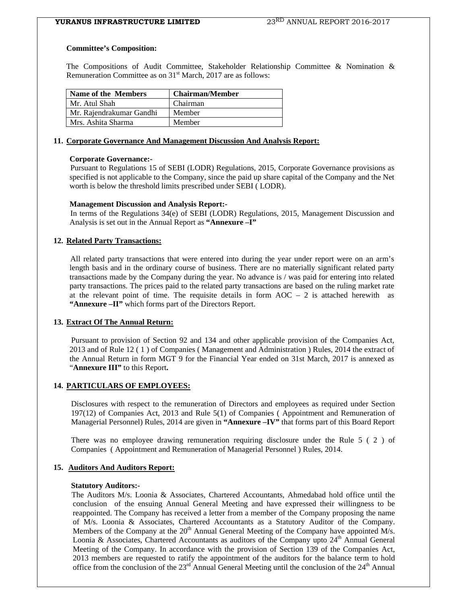#### **Committee's Composition:**

The Compositions of Audit Committee, Stakeholder Relationship Committee & Nomination & Remuneration Committee as on 31<sup>st</sup> March, 2017 are as follows:

| Name of the Members      | <b>Chairman/Member</b> |
|--------------------------|------------------------|
| Mr. Atul Shah            | Chairman               |
| Mr. Rajendrakumar Gandhi | Member                 |
| Mrs. Ashita Sharma       | Member                 |

#### **11. Corporate Governance And Management Discussion And Analysis Report:**

#### **Corporate Governance:-**

 Pursuant to Regulations 15 of SEBI (LODR) Regulations, 2015, Corporate Governance provisions as specified is not applicable to the Company, since the paid up share capital of the Company and the Net worth is below the threshold limits prescribed under SEBI ( LODR).

#### **Management Discussion and Analysis Report:-**

 In terms of the Regulations 34(e) of SEBI (LODR) Regulations, 2015, Management Discussion and Analysis is set out in the Annual Report as **"Annexure –I"** 

### **12. Related Party Transactions:**

 All related party transactions that were entered into during the year under report were on an arm's length basis and in the ordinary course of business. There are no materially significant related party transactions made by the Company during the year. No advance is / was paid for entering into related party transactions. The prices paid to the related party transactions are based on the ruling market rate at the relevant point of time. The requisite details in form  $AOC - 2$  is attached herewith as **"Annexure –II"** which forms part of the Directors Report.

#### **13. Extract Of The Annual Return:**

Pursuant to provision of Section 92 and 134 and other applicable provision of the Companies Act, 2013 and of Rule 12 ( 1 ) of Companies ( Management and Administration ) Rules, 2014 the extract of the Annual Return in form MGT 9 for the Financial Year ended on 31st March, 2017 is annexed as "**Annexure III"** to this Report**.** 

### **14. PARTICULARS OF EMPLOYEES:**

Disclosures with respect to the remuneration of Directors and employees as required under Section 197(12) of Companies Act, 2013 and Rule 5(1) of Companies ( Appointment and Remuneration of Managerial Personnel) Rules, 2014 are given in **"Annexure –IV"** that forms part of this Board Report

There was no employee drawing remuneration requiring disclosure under the Rule 5 ( 2 ) of Companies ( Appointment and Remuneration of Managerial Personnel ) Rules, 2014.

## **15. Auditors And Auditors Report:**

#### **Statutory Auditors:-**

 The Auditors M/s. Loonia & Associates, Chartered Accountants, Ahmedabad hold office until the conclusion of the ensuing Annual General Meeting and have expressed their willingness to be reappointed. The Company has received a letter from a member of the Company proposing the name of M/s. Loonia & Associates, Chartered Accountants as a Statutory Auditor of the Company. Members of the Company at the  $20<sup>th</sup>$  Annual General Meeting of the Company have appointed M/s. Loonia & Associates, Chartered Accountants as auditors of the Company upto  $24<sup>th</sup>$  Annual General Meeting of the Company. In accordance with the provision of Section 139 of the Companies Act, 2013 members are requested to ratify the appointment of the auditors for the balance term to hold office from the conclusion of the  $23<sup>rd</sup>$  Annual General Meeting until the conclusion of the  $24<sup>th</sup>$  Annual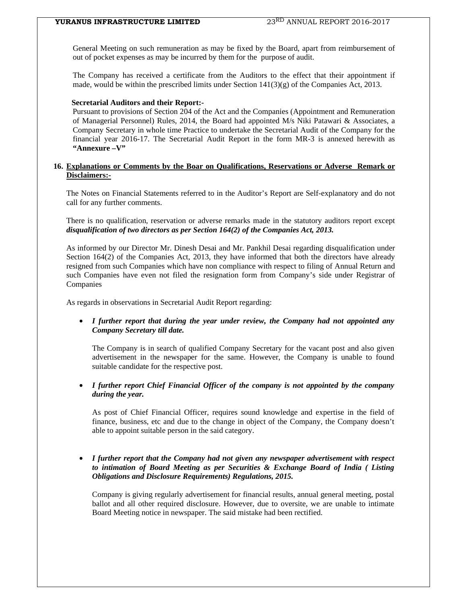General Meeting on such remuneration as may be fixed by the Board, apart from reimbursement of out of pocket expenses as may be incurred by them for the purpose of audit.

The Company has received a certificate from the Auditors to the effect that their appointment if made, would be within the prescribed limits under Section  $141(3)(g)$  of the Companies Act, 2013.

#### **Secretarial Auditors and their Report:-**

 Pursuant to provisions of Section 204 of the Act and the Companies (Appointment and Remuneration of Managerial Personnel) Rules, 2014, the Board had appointed M/s Niki Patawari & Associates, a Company Secretary in whole time Practice to undertake the Secretarial Audit of the Company for the financial year 2016-17. The Secretarial Audit Report in the form MR-3 is annexed herewith as **"Annexure –V"** 

#### **16. Explanations or Comments by the Boar on Qualifications, Reservations or Adverse Remark or Disclaimers:-**

The Notes on Financial Statements referred to in the Auditor's Report are Self-explanatory and do not call for any further comments.

There is no qualification, reservation or adverse remarks made in the statutory auditors report except *disqualification of two directors as per Section 164(2) of the Companies Act, 2013.*

As informed by our Director Mr. Dinesh Desai and Mr. Pankhil Desai regarding disqualification under Section 164(2) of the Companies Act, 2013, they have informed that both the directors have already resigned from such Companies which have non compliance with respect to filing of Annual Return and such Companies have even not filed the resignation form from Company's side under Registrar of Companies

As regards in observations in Secretarial Audit Report regarding:

• *I further report that during the year under review, the Company had not appointed any Company Secretary till date.* 

The Company is in search of qualified Company Secretary for the vacant post and also given advertisement in the newspaper for the same. However, the Company is unable to found suitable candidate for the respective post.

#### • *I further report Chief Financial Officer of the company is not appointed by the company during the year.*

As post of Chief Financial Officer, requires sound knowledge and expertise in the field of finance, business, etc and due to the change in object of the Company, the Company doesn't able to appoint suitable person in the said category.

#### • *I further report that the Company had not given any newspaper advertisement with respect to intimation of Board Meeting as per Securities & Exchange Board of India ( Listing Obligations and Disclosure Requirements) Regulations, 2015.*

Company is giving regularly advertisement for financial results, annual general meeting, postal ballot and all other required disclosure. However, due to oversite, we are unable to intimate Board Meeting notice in newspaper. The said mistake had been rectified.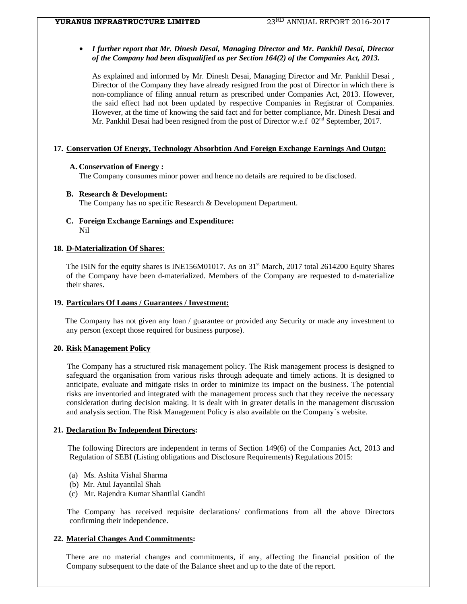#### • *I further report that Mr. Dinesh Desai, Managing Director and Mr. Pankhil Desai, Director of the Company had been disqualified as per Section 164(2) of the Companies Act, 2013.*

As explained and informed by Mr. Dinesh Desai, Managing Director and Mr. Pankhil Desai , Director of the Company they have already resigned from the post of Director in which there is non-compliance of filing annual return as prescribed under Companies Act, 2013. However, the said effect had not been updated by respective Companies in Registrar of Companies. However, at the time of knowing the said fact and for better compliance, Mr. Dinesh Desai and Mr. Pankhil Desai had been resigned from the post of Director w.e.f  $02<sup>nd</sup>$  September, 2017.

#### **17. Conservation Of Energy, Technology Absorbtion And Foreign Exchange Earnings And Outgo:**

#### **A. Conservation of Energy :**

The Company consumes minor power and hence no details are required to be disclosed.

#### **B. Research & Development:**

The Company has no specific Research & Development Department.

#### **C. Foreign Exchange Earnings and Expenditure:**  Nil

#### **18. D-Materialization Of Shares**:

The ISIN for the equity shares is INE156M01017. As on 31<sup>st</sup> March, 2017 total 2614200 Equity Shares of the Company have been d-materialized. Members of the Company are requested to d-materialize their shares.

#### **19. Particulars Of Loans / Guarantees / Investment:**

 The Company has not given any loan / guarantee or provided any Security or made any investment to any person (except those required for business purpose).

#### **20. Risk Management Policy**

 The Company has a structured risk management policy. The Risk management process is designed to safeguard the organisation from various risks through adequate and timely actions. It is designed to anticipate, evaluate and mitigate risks in order to minimize its impact on the business. The potential risks are inventoried and integrated with the management process such that they receive the necessary consideration during decision making. It is dealt with in greater details in the management discussion and analysis section. The Risk Management Policy is also available on the Company`s website.

#### **21. Declaration By Independent Directors:**

 The following Directors are independent in terms of Section 149(6) of the Companies Act, 2013 and Regulation of SEBI (Listing obligations and Disclosure Requirements) Regulations 2015:

- (a) Ms. Ashita Vishal Sharma
- (b) Mr. Atul Jayantilal Shah
- (c) Mr. Rajendra Kumar Shantilal Gandhi

 The Company has received requisite declarations/ confirmations from all the above Directors confirming their independence.

#### **22. Material Changes And Commitments:**

There are no material changes and commitments, if any, affecting the financial position of the Company subsequent to the date of the Balance sheet and up to the date of the report.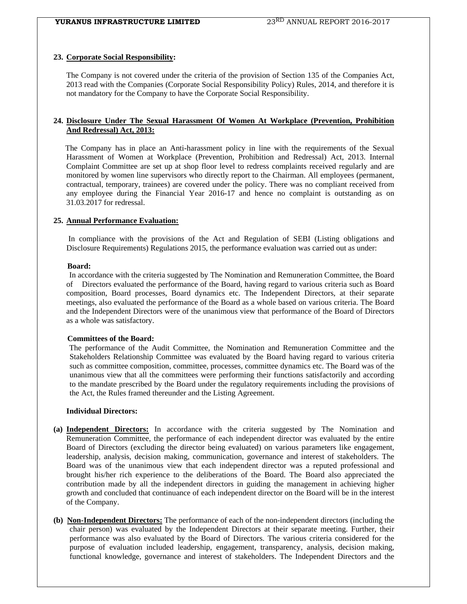#### **23. Corporate Social Responsibility:**

 The Company is not covered under the criteria of the provision of Section 135 of the Companies Act, 2013 read with the Companies (Corporate Social Responsibility Policy) Rules, 2014, and therefore it is not mandatory for the Company to have the Corporate Social Responsibility.

#### **24. Disclosure Under The Sexual Harassment Of Women At Workplace (Prevention, Prohibition And Redressal) Act, 2013:**

The Company has in place an Anti-harassment policy in line with the requirements of the Sexual Harassment of Women at Workplace (Prevention, Prohibition and Redressal) Act, 2013. Internal Complaint Committee are set up at shop floor level to redress complaints received regularly and are monitored by women line supervisors who directly report to the Chairman. All employees (permanent, contractual, temporary, trainees) are covered under the policy. There was no compliant received from any employee during the Financial Year 2016-17 and hence no complaint is outstanding as on 31.03.2017 for redressal.

#### **25. Annual Performance Evaluation:**

 In compliance with the provisions of the Act and Regulation of SEBI (Listing obligations and Disclosure Requirements) Regulations 2015, the performance evaluation was carried out as under:

#### **Board:**

 In accordance with the criteria suggested by The Nomination and Remuneration Committee, the Board of Directors evaluated the performance of the Board, having regard to various criteria such as Board composition, Board processes, Board dynamics etc. The Independent Directors, at their separate meetings, also evaluated the performance of the Board as a whole based on various criteria. The Board and the Independent Directors were of the unanimous view that performance of the Board of Directors as a whole was satisfactory.

#### **Committees of the Board:**

 The performance of the Audit Committee, the Nomination and Remuneration Committee and the Stakeholders Relationship Committee was evaluated by the Board having regard to various criteria such as committee composition, committee, processes, committee dynamics etc. The Board was of the unanimous view that all the committees were performing their functions satisfactorily and according to the mandate prescribed by the Board under the regulatory requirements including the provisions of the Act, the Rules framed thereunder and the Listing Agreement.

#### **Individual Directors:**

- **(a) Independent Directors:** In accordance with the criteria suggested by The Nomination and Remuneration Committee, the performance of each independent director was evaluated by the entire Board of Directors (excluding the director being evaluated) on various parameters like engagement, leadership, analysis, decision making, communication, governance and interest of stakeholders. The Board was of the unanimous view that each independent director was a reputed professional and brought his/her rich experience to the deliberations of the Board. The Board also appreciated the contribution made by all the independent directors in guiding the management in achieving higher growth and concluded that continuance of each independent director on the Board will be in the interest of the Company.
- **(b) Non-Independent Directors:** The performance of each of the non-independent directors (including the chair person) was evaluated by the Independent Directors at their separate meeting. Further, their performance was also evaluated by the Board of Directors. The various criteria considered for the purpose of evaluation included leadership, engagement, transparency, analysis, decision making, functional knowledge, governance and interest of stakeholders. The Independent Directors and the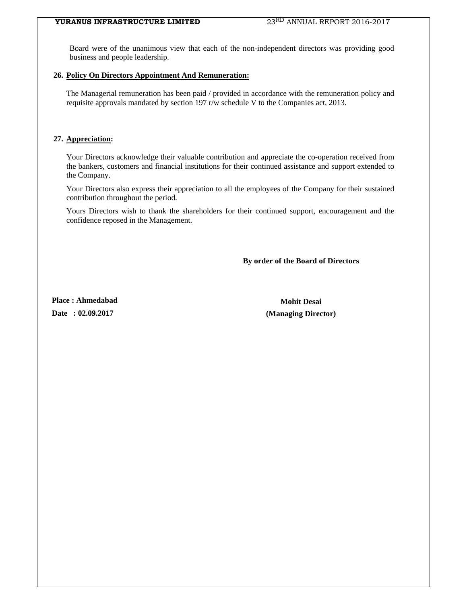Board were of the unanimous view that each of the non-independent directors was providing good business and people leadership.

#### **26. Policy On Directors Appointment And Remuneration:**

The Managerial remuneration has been paid / provided in accordance with the remuneration policy and requisite approvals mandated by section 197 r/w schedule V to the Companies act, 2013.

#### **27. Appreciation:**

Your Directors acknowledge their valuable contribution and appreciate the co-operation received from the bankers, customers and financial institutions for their continued assistance and support extended to the Company.

Your Directors also express their appreciation to all the employees of the Company for their sustained contribution throughout the period.

Yours Directors wish to thank the shareholders for their continued support, encouragement and the confidence reposed in the Management.

**By order of the Board of Directors** 

Place : Ahmedabad **Mohit Desai Mohit Desai** 

**Date : 02.09.2017 (Managing Director)**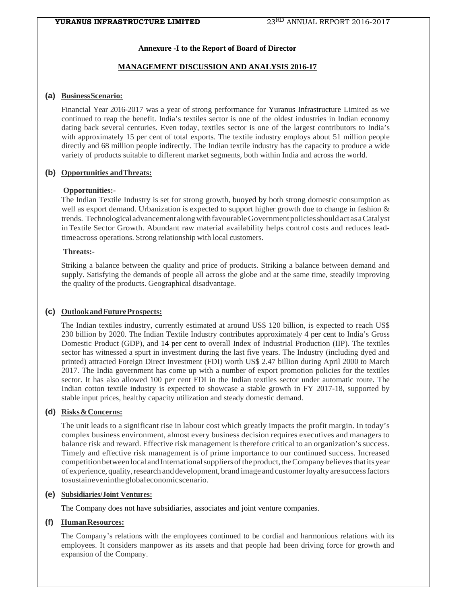### **Annexure -I to the Report of Board of Director**

### **MANAGEMENT DISCUSSION AND ANALYSIS 2016-17**

#### **(a) Business Scenario:**

Financial Year 2016-2017 was a year of strong performance for Yuranus Infrastructure Limited as we continued to reap the benefit. India's textiles sector is one of the oldest industries in Indian economy dating back several centuries. Even today, textiles sector is one of the largest contributors to India's with approximately 15 per cent of total exports. The textile industry employs about 51 million people directly and 68 million people indirectly. The Indian textile industry has the capacity to produce a wide variety of products suitable to different market segments, both within India and across the world.

#### **(b) Opportunities andThreats:**

#### **Opportunities:-**

The Indian Textile Industry is set for strong growth, buoyed by both strong domestic consumption as well as export demand. Urbanization is expected to support higher growth due to change in fashion & trends. Technological advancement along with favourable Government policies should act as a Catalyst in Textile Sector Growth. Abundant raw material availability helps control costs and reduces leadtime across operations. Strong relationship with local customers.

#### **Threats:-**

Striking a balance between the quality and price of products. Striking a balance between demand and supply. Satisfying the demands of people all across the globe and at the same time, steadily improving the quality of the products. Geographical disadvantage.

#### **(c) Outlook and Future Prospects:**

The Indian textiles industry, currently estimated at around US\$ 120 billion, is expected to reach US\$ 230 billion by 2020. The Indian Textile Industry contributes approximately 4 per cent to India's Gross Domestic Product (GDP), and 14 per cent to overall Index of Industrial Production (IIP). The textiles sector has witnessed a spurt in investment during the last five years. The Industry (including dyed and printed) attracted Foreign Direct Investment (FDI) worth US\$ 2.47 billion during April 2000 to March 2017. The India government has come up with a number of export promotion policies for the textiles sector. It has also allowed 100 per cent FDI in the Indian textiles sector under automatic route. The Indian cotton textile industry is expected to showcase a stable growth in FY 2017-18, supported by stable input prices, healthy capacity utilization and steady domestic demand.

#### **(d) Risks & Concerns:**

The unit leads to a significant rise in labour cost which greatly impacts the profit margin. In today's complex business environment, almost every business decision requires executives and managers to balance risk and reward. Effective risk management is therefore critical to an organization's success. Timely and effective risk management is of prime importance to our continued success. Increased competition between local and International suppliers of the product, the Company believes that its year of experience, quality, research and development, brand image and customer loyalty are success factors to sustain even in the global economic scenario.

#### **(e) Subsidiaries/Joint Ventures:**

The Company does not have subsidiaries, associates and joint venture companies.

#### **(f) Human Resources:**

The Company's relations with the employees continued to be cordial and harmonious relations with its employees. It considers manpower as its assets and that people had been driving force for growth and expansion of the Company.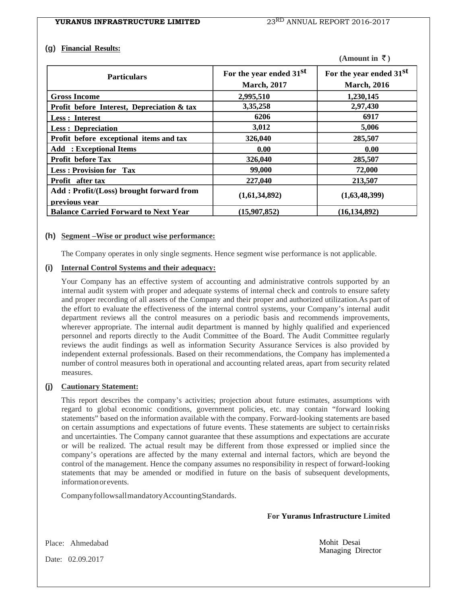#### **(g) Financial Results:**

| (Amount in $\bar{z}$ ) |  |  |
|------------------------|--|--|
|------------------------|--|--|

| <b>Particulars</b>                                       | For the year ended 31 <sup>st</sup><br><b>March</b> , 2017 | For the year ended 31st<br><b>March</b> , 2016 |  |  |
|----------------------------------------------------------|------------------------------------------------------------|------------------------------------------------|--|--|
| <b>Gross Income</b>                                      | 2,995,510                                                  | 1,230,145                                      |  |  |
| Profit before Interest, Depreciation & tax               | 3,35,258                                                   | 2,97,430                                       |  |  |
| Less : Interest                                          | 6206                                                       | 6917                                           |  |  |
| <b>Less: Depreciation</b>                                | 3,012                                                      | 5,006                                          |  |  |
| Profit before exceptional items and tax                  | 326,040                                                    | 285,507                                        |  |  |
| <b>Add</b> : Exceptional Items                           | 0.00                                                       | 0.00                                           |  |  |
| <b>Profit before Tax</b>                                 | 326,040                                                    | 285,507                                        |  |  |
| <b>Less: Provision for Tax</b>                           | 99,000                                                     | 72,000                                         |  |  |
| Profit after tax                                         | 227,040                                                    | 213,507                                        |  |  |
| Add: Profit/(Loss) brought forward from<br>previous vear | (1,61,34,892)                                              | (1,63,48,399)                                  |  |  |
| <b>Balance Carried Forward to Next Year</b>              | (15,907,852)                                               | (16, 134, 892)                                 |  |  |

#### **(h) Segment –Wise or product wise performance:**

The Company operates in only single segments. Hence segment wise performance is not applicable.

#### **(i) Internal Control Systems and their adequacy:**

Your Company has an effective system of accounting and administrative controls supported by an internal audit system with proper and adequate systems of internal check and controls to ensure safety and proper recording of all assets of the Company and their proper and authorized utilization.As part of the effort to evaluate the effectiveness of the internal control systems, your Company's internal audit department reviews all the control measures on a periodic basis and recommends improvements, wherever appropriate. The internal audit department is manned by highly qualified and experienced personnel and reports directly to the Audit Committee of the Board. The Audit Committee regularly reviews the audit findings as well as information Security Assurance Services is also provided by independent external professionals. Based on their recommendations, the Company has implemented a number of control measures both in operational and accounting related areas, apart from security related measures.

### **(j) Cautionary Statement:**

This report describes the company's activities; projection about future estimates, assumptions with regard to global economic conditions, government policies, etc. may contain "forward looking statements" based on the information available with the company. Forward-looking statements are based on certain assumptions and expectations of future events. These statements are subject to certain risks and uncertainties. The Company cannot guarantee that these assumptions and expectations are accurate or will be realized. The actual result may be different from those expressed or implied since the company's operations are affected by the many external and internal factors, which are beyond the control of the management. Hence the company assumes no responsibility in respect of forward-looking statements that may be amended or modified in future on the basis of subsequent developments, information or events.

Company follows all mandatory Accounting Standards.

 **For Yuranus Infrastructure Limited**

Mohit Desai Managing Director

Place: Ahmedabad

Date: 02.09.2017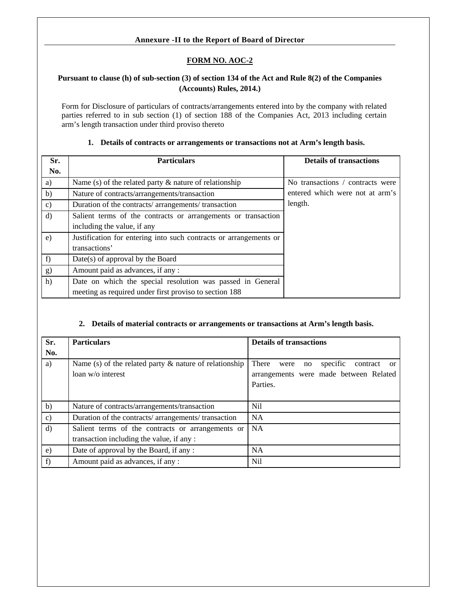# **Annexure -II to the Report of Board of Director**

# **FORM NO. AOC-2**

# **Pursuant to clause (h) of sub-section (3) of section 134 of the Act and Rule 8(2) of the Companies (Accounts) Rules, 2014.)**

Form for Disclosure of particulars of contracts/arrangements entered into by the company with related parties referred to in sub section (1) of section 188 of the Companies Act, 2013 including certain arm's length transaction under third proviso thereto

### **1. Details of contracts or arrangements or transactions not at Arm's length basis.**

| Sr.          | <b>Particulars</b>                                                | <b>Details of transactions</b>   |  |  |  |
|--------------|-------------------------------------------------------------------|----------------------------------|--|--|--|
| No.          |                                                                   |                                  |  |  |  |
| a)           | Name (s) of the related party $\&$ nature of relationship         | No transactions / contracts were |  |  |  |
| b)           | Nature of contracts/arrangements/transaction                      | entered which were not at arm's  |  |  |  |
| $\mathbf{c}$ | Duration of the contracts/arrangements/transaction                | length.                          |  |  |  |
| d)           | Salient terms of the contracts or arrangements or transaction     |                                  |  |  |  |
|              | including the value, if any                                       |                                  |  |  |  |
| e)           | Justification for entering into such contracts or arrangements or |                                  |  |  |  |
|              | transactions'                                                     |                                  |  |  |  |
| f)           | Date(s) of approval by the Board                                  |                                  |  |  |  |
| g)           | Amount paid as advances, if any :                                 |                                  |  |  |  |
| h)           | Date on which the special resolution was passed in General        |                                  |  |  |  |
|              | meeting as required under first proviso to section 188            |                                  |  |  |  |

### **2. Details of material contracts or arrangements or transactions at Arm's length basis.**

| Sr.<br>No.    | <b>Particulars</b>                                                                             | <b>Details of transactions</b>                                                                                     |
|---------------|------------------------------------------------------------------------------------------------|--------------------------------------------------------------------------------------------------------------------|
| a)            | Name (s) of the related party $\&$ nature of relationship<br>loan w/o interest                 | There<br>specific<br>contract<br>were<br>no<br><sub>or</sub><br>arrangements were made between Related<br>Parties. |
| b)            | Nature of contracts/arrangements/transaction                                                   | N <sub>i</sub> l                                                                                                   |
| $\mathbf{c})$ | Duration of the contracts/arrangements/transaction                                             | <b>NA</b>                                                                                                          |
| d)            | Salient terms of the contracts or arrangements or<br>transaction including the value, if any : | <b>NA</b>                                                                                                          |
| $\epsilon$ )  | Date of approval by the Board, if any:                                                         | <b>NA</b>                                                                                                          |
| f)            | Amount paid as advances, if any :                                                              | Nil                                                                                                                |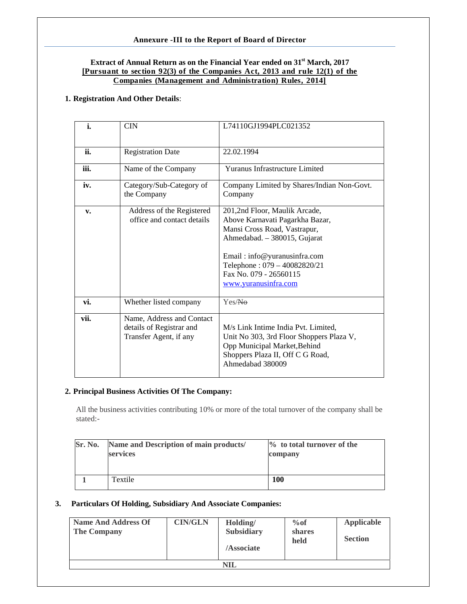# **Annexure -III to the Report of Board of Director**

#### **Extract of Annual Return as on the Financial Year ended on 31st March, 2017 [Pursuant to section 92(3) of the Companies Act, 2013 and rule 12(1) of the Companies (Management and Administration) Rules, 2014]**

#### **1. Registration And Other Details**:

| i.   | <b>CIN</b>                                                                      | L74110GJ1994PLC021352                                                                                                                                                                                                                              |
|------|---------------------------------------------------------------------------------|----------------------------------------------------------------------------------------------------------------------------------------------------------------------------------------------------------------------------------------------------|
| ii.  | <b>Registration Date</b>                                                        | 22.02.1994                                                                                                                                                                                                                                         |
| iii. | Name of the Company                                                             | <b>Yuranus Infrastructure Limited</b>                                                                                                                                                                                                              |
| iv.  | Category/Sub-Category of<br>the Company                                         | Company Limited by Shares/Indian Non-Govt.<br>Company                                                                                                                                                                                              |
| v.   | Address of the Registered<br>office and contact details                         | 201,2nd Floor, Maulik Arcade,<br>Above Karnavati Pagarkha Bazar,<br>Mansi Cross Road, Vastrapur,<br>Ahmedabad. - 380015, Gujarat<br>Email: info@yuranusinfra.com<br>Telephone: 079 - 40082820/21<br>Fax No. 079 - 26560115<br>www.yuranusinfra.com |
| vi.  | Whether listed company                                                          | Yes/Na                                                                                                                                                                                                                                             |
| vii. | Name, Address and Contact<br>details of Registrar and<br>Transfer Agent, if any | M/s Link Intime India Pvt. Limited,<br>Unit No 303, 3rd Floor Shoppers Plaza V,<br>Opp Municipal Market, Behind<br>Shoppers Plaza II, Off C G Road,<br>Ahmedabad 380009                                                                            |

#### **2. Principal Business Activities Of The Company:**

All the business activities contributing 10% or more of the total turnover of the company shall be stated:-

| Sr. No. | Name and Description of main products/<br>services | $\%$ to total turnover of the<br>company |
|---------|----------------------------------------------------|------------------------------------------|
|         | Textile                                            | 100                                      |

#### **3. Particulars Of Holding, Subsidiary And Associate Companies:**

| <b>Name And Address Of</b><br><b>The Company</b> | <b>CIN/GLN</b> | Holding/<br><b>Subsidiary</b><br>/Associate | $\%$ of<br><b>shares</b><br>held | <b>Applicable</b><br><b>Section</b> |  |  |
|--------------------------------------------------|----------------|---------------------------------------------|----------------------------------|-------------------------------------|--|--|
| <b>NIL</b>                                       |                |                                             |                                  |                                     |  |  |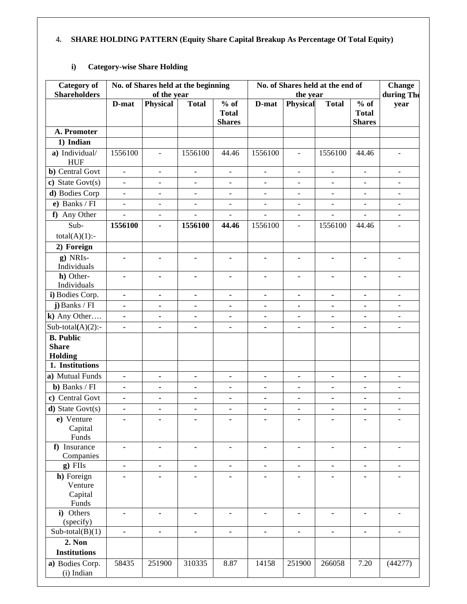# **4. SHARE HOLDING PATTERN (Equity Share Capital Breakup As Percentage Of Total Equity)**

# **i) Category-wise Share Holding**

| <b>Category</b> of<br><b>Shareholders</b>          |                          | of the year                  | No. of Shares held at the beginning |                                         | No. of Shares held at the end of<br>the year |                              |                |                                         | <b>Change</b><br>during The |
|----------------------------------------------------|--------------------------|------------------------------|-------------------------------------|-----------------------------------------|----------------------------------------------|------------------------------|----------------|-----------------------------------------|-----------------------------|
|                                                    | D-mat                    | Physical                     | <b>Total</b>                        | $%$ of<br><b>Total</b><br><b>Shares</b> | D-mat                                        | <b>Physical</b>              | <b>Total</b>   | $%$ of<br><b>Total</b><br><b>Shares</b> | year                        |
| A. Promoter                                        |                          |                              |                                     |                                         |                                              |                              |                |                                         |                             |
| 1) Indian                                          |                          |                              |                                     |                                         |                                              |                              |                |                                         |                             |
| a) Individual/<br><b>HUF</b>                       | 1556100                  | $\overline{\phantom{a}}$     | 1556100                             | 44.46                                   | 1556100                                      | $\overline{\phantom{a}}$     | 1556100        | 44.46                                   | $\blacksquare$              |
| <b>b</b> ) Central Govt                            | $\overline{\phantom{a}}$ | $\qquad \qquad -$            | $\qquad \qquad \blacksquare$        | $\overline{\phantom{a}}$                | $\overline{\phantom{a}}$                     | $\qquad \qquad -$            | $\blacksquare$ | $\qquad \qquad -$                       | $\overline{\phantom{a}}$    |
| c) State Govt $(s)$                                | $\equiv$                 | $\overline{\phantom{0}}$     | $\overline{\phantom{0}}$            | $\frac{1}{2}$                           | $\overline{\phantom{a}}$                     | $\frac{1}{2}$                | $\blacksquare$ | $\frac{1}{2}$                           | $\overline{\phantom{a}}$    |
| d) Bodies Corp                                     | $\overline{a}$           | $\overline{a}$               | $\overline{a}$                      | $\overline{a}$                          | $\blacksquare$                               | $\overline{a}$               | $\overline{a}$ | $\overline{a}$                          | $\blacksquare$              |
| e) Banks $\sqrt{FI}$                               | $\blacksquare$           | $\overline{\phantom{a}}$     | $\qquad \qquad \blacksquare$        | $\blacksquare$                          | $\qquad \qquad \blacksquare$                 | $\qquad \qquad -$            | $\blacksquare$ | $\qquad \qquad \blacksquare$            | $\overline{\phantom{a}}$    |
| f) Any Other                                       | $\overline{a}$           | $\overline{a}$               | $\overline{a}$                      | $\overline{a}$                          | $\overline{a}$                               | $\overline{\phantom{a}}$     | $\overline{a}$ | $\overline{a}$                          | $\overline{\phantom{a}}$    |
| Sub-<br>$total(A)(1)$ :-                           | 1556100                  | $\blacksquare$               | 1556100                             | 44.46                                   | 1556100                                      | $\blacksquare$               | 1556100        | 44.46                                   | $\blacksquare$              |
| 2) Foreign                                         |                          |                              |                                     |                                         |                                              |                              |                |                                         |                             |
| $g)$ NRIs-<br>Individuals                          | $\blacksquare$           | $\blacksquare$               |                                     |                                         |                                              |                              | ٠              | ۰                                       |                             |
| h) Other-                                          | ٠                        | $\blacksquare$               |                                     |                                         |                                              | $\blacksquare$               |                | $\blacksquare$                          | $\overline{\phantom{a}}$    |
| Individuals                                        |                          |                              |                                     |                                         |                                              |                              |                |                                         |                             |
| i) Bodies Corp.                                    | $\blacksquare$           | $\blacksquare$               | $\blacksquare$                      | $\blacksquare$                          |                                              | $\blacksquare$               | $\blacksquare$ | $\blacksquare$                          | $\blacksquare$              |
| $j$ ) Banks / FI                                   | $\blacksquare$           | $\qquad \qquad \blacksquare$ | $\qquad \qquad \blacksquare$        | ٠                                       | ۰                                            | ٠                            | $\blacksquare$ |                                         | $\overline{\phantom{a}}$    |
| $k)$ Any Other                                     | $\blacksquare$           | $\blacksquare$               | $\blacksquare$                      | ä,                                      | $\blacksquare$                               | $\blacksquare$               | ä,             | $\blacksquare$                          | $\overline{\phantom{a}}$    |
| Sub-total(A)(2):-                                  | $\blacksquare$           | $\blacksquare$               | $\blacksquare$                      | $\blacksquare$                          | $\blacksquare$                               | $\qquad \qquad \blacksquare$ | $\blacksquare$ |                                         | $\overline{\phantom{a}}$    |
| <b>B.</b> Public<br><b>Share</b><br><b>Holding</b> |                          |                              |                                     |                                         |                                              |                              |                |                                         |                             |
| 1. Institutions                                    |                          |                              |                                     |                                         |                                              |                              |                |                                         |                             |
| a) Mutual Funds                                    | $\blacksquare$           | $\blacksquare$               | ä,                                  | $\blacksquare$                          | $\blacksquare$                               | $\blacksquare$               | $\blacksquare$ | ä,                                      |                             |
| <b>b</b> ) Banks / FI                              | $\blacksquare$           | $\blacksquare$               |                                     | $\blacksquare$                          | $\blacksquare$                               | $\blacksquare$               | $\blacksquare$ |                                         | $\overline{\phantom{a}}$    |
| c) Central Govt                                    | $\blacksquare$           | $\blacksquare$               | $\blacksquare$                      | $\blacksquare$                          | $\blacksquare$                               | $\qquad \qquad \blacksquare$ | $\blacksquare$ | $\blacksquare$                          | $\overline{\phantom{a}}$    |
| $d)$ State Govt $(s)$                              | $\blacksquare$           | $\qquad \qquad \blacksquare$ |                                     | ٠                                       | $\blacksquare$                               | $\blacksquare$               | $\blacksquare$ |                                         | $\qquad \qquad -$           |
| e) Venture<br>Capital<br>Funds                     | ٠                        | ٠                            | ٠                                   | ٠                                       | ٠                                            | ٠                            | ٠              | ٠                                       |                             |
| f) Insurance<br>Companies                          | $\blacksquare$           | $\blacksquare$               | $\blacksquare$                      | $\blacksquare$                          | $\blacksquare$                               | $\blacksquare$               | $\blacksquare$ | $\blacksquare$                          | $\overline{\phantom{a}}$    |
| g) FIIs                                            | $\blacksquare$           | $\blacksquare$               | $\blacksquare$                      | $\blacksquare$                          | $\blacksquare$                               | $\blacksquare$               | $\blacksquare$ | $\blacksquare$                          | $\overline{\phantom{a}}$    |
| h) Foreign<br>Venture<br>Capital                   |                          |                              |                                     |                                         |                                              |                              |                |                                         |                             |
| Funds<br>i) Others<br>(specify)                    |                          | $\blacksquare$               |                                     |                                         |                                              | ä,                           | ä,             |                                         | $\blacksquare$              |
| $Sub-total(B)(1)$                                  |                          | $\blacksquare$               | ä,                                  |                                         |                                              | $\blacksquare$               | ä,             | ä,                                      | $\overline{a}$              |
| <b>2. Non</b>                                      |                          |                              |                                     |                                         |                                              |                              |                |                                         |                             |
| <b>Institutions</b>                                |                          |                              |                                     |                                         |                                              |                              |                |                                         |                             |
| a) Bodies Corp.<br>(i) Indian                      | 58435                    | 251900                       | 310335                              | 8.87                                    | 14158                                        | 251900                       | 266058         | 7.20                                    | (44277)                     |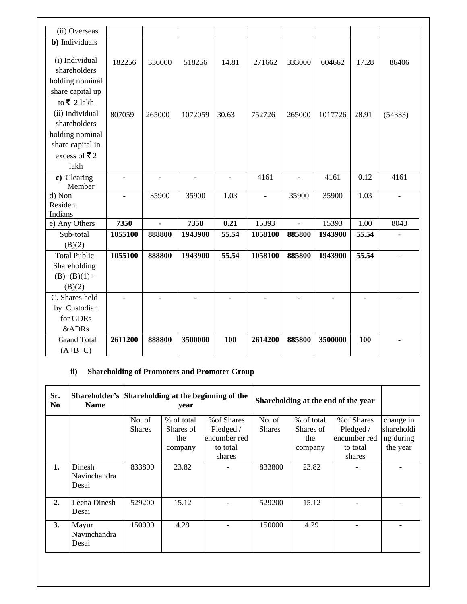| (ii) Overseas                |                |                |                |                |                |                |         |       |                          |
|------------------------------|----------------|----------------|----------------|----------------|----------------|----------------|---------|-------|--------------------------|
| b) Individuals               |                |                |                |                |                |                |         |       |                          |
|                              |                |                |                |                |                |                |         |       |                          |
| (i) Individual               | 182256         | 336000         | 518256         | 14.81          | 271662         | 333000         | 604662  | 17.28 | 86406                    |
| shareholders                 |                |                |                |                |                |                |         |       |                          |
| holding nominal              |                |                |                |                |                |                |         |       |                          |
| share capital up             |                |                |                |                |                |                |         |       |                          |
| to ₹ 2 lakh                  |                |                |                |                |                |                |         |       |                          |
| (ii) Individual              | 807059         | 265000         | 1072059        | 30.63          | 752726         | 265000         | 1017726 | 28.91 | (54333)                  |
| shareholders                 |                |                |                |                |                |                |         |       |                          |
| holding nominal              |                |                |                |                |                |                |         |       |                          |
| share capital in             |                |                |                |                |                |                |         |       |                          |
| excess of ₹2                 |                |                |                |                |                |                |         |       |                          |
| lakh                         |                |                |                |                |                |                |         |       |                          |
| c) Clearing                  | $\blacksquare$ | $\overline{a}$ | $\overline{a}$ | $\overline{a}$ | 4161           | $\overline{a}$ | 4161    | 0.12  | 4161                     |
| Member                       |                |                |                |                |                |                |         |       |                          |
| d) Non                       | $\blacksquare$ | 35900          | 35900          | 1.03           | $\overline{a}$ | 35900          | 35900   | 1.03  | $\overline{\phantom{a}}$ |
| Resident                     |                |                |                |                |                |                |         |       |                          |
| Indians                      |                |                |                |                |                |                |         |       |                          |
| e) Any Others                | 7350           | $\blacksquare$ | 7350           | 0.21           | 15393          | $\frac{1}{2}$  | 15393   | 1.00  | 8043                     |
| Sub-total                    | 1055100        | 888800         | 1943900        | 55.54          | 1058100        | 885800         | 1943900 | 55.54 |                          |
| (B)(2)                       |                |                |                |                |                |                |         |       |                          |
| <b>Total Public</b>          | 1055100        | 888800         | 1943900        | 55.54          |                |                | 1943900 |       | $\mathbf{r}$             |
|                              |                |                |                |                | 1058100        | 885800         |         | 55.54 |                          |
| Shareholding                 |                |                |                |                |                |                |         |       |                          |
| $(B)=(B)(1)+$                |                |                |                |                |                |                |         |       |                          |
| (B)(2)                       |                |                |                |                |                |                |         |       |                          |
| $\overline{C}$ . Shares held |                |                |                |                |                |                |         |       |                          |
| by Custodian                 |                |                |                |                |                |                |         |       |                          |
| for GDRs                     |                |                |                |                |                |                |         |       |                          |
| &ADRs                        |                |                |                |                |                |                |         |       |                          |
| <b>Grand Total</b>           | 2611200        | 888800         | 3500000        | 100            | 2614200        | 885800         | 3500000 | 100   |                          |

# **ii) Shareholding of Promoters and Promoter Group**

| Sr.<br>N <sub>0</sub> | Shareholder's Shareholding at the beginning of the<br><b>Name</b> |                         | year                                      |                                                                | Shareholding at the end of the year |                                           |                                                                |                                                  |
|-----------------------|-------------------------------------------------------------------|-------------------------|-------------------------------------------|----------------------------------------------------------------|-------------------------------------|-------------------------------------------|----------------------------------------------------------------|--------------------------------------------------|
|                       |                                                                   | No. of<br><b>Shares</b> | % of total<br>Shares of<br>the<br>company | % of Shares<br>Pledged /<br>encumber red<br>to total<br>shares | No. of<br><b>Shares</b>             | % of total<br>Shares of<br>the<br>company | % of Shares<br>Pledged /<br>encumber red<br>to total<br>shares | change in<br>shareholdi<br>ng during<br>the year |
| 1.                    | Dinesh<br>Navinchandra<br>Desai                                   | 833800                  | 23.82                                     |                                                                | 833800                              | 23.82                                     |                                                                |                                                  |
| 2.                    | Leena Dinesh<br>Desai                                             | 529200                  | 15.12                                     |                                                                | 529200                              | 15.12                                     |                                                                |                                                  |
| 3.                    | Mayur<br>Navinchandra<br>Desai                                    | 150000                  | 4.29                                      |                                                                | 150000                              | 4.29                                      |                                                                |                                                  |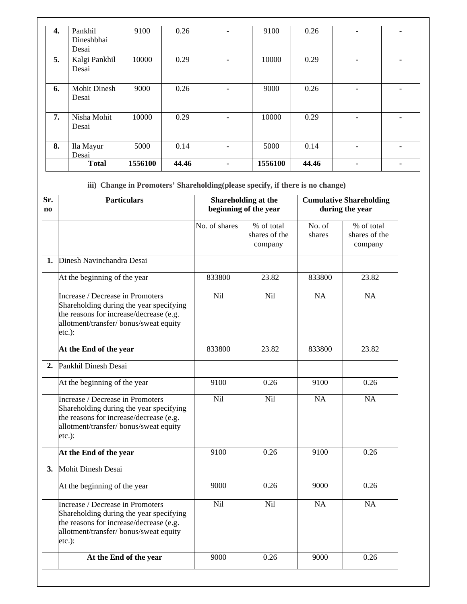| 4. | Pankhil             | 9100    | 0.26  |                | 9100    | 0.26  |                          |
|----|---------------------|---------|-------|----------------|---------|-------|--------------------------|
|    |                     |         |       | $\blacksquare$ |         |       | $\overline{\phantom{a}}$ |
|    | Dineshbhai          |         |       |                |         |       |                          |
|    | Desai               |         |       |                |         |       |                          |
| 5. | Kalgi Pankhil       | 10000   | 0.29  | ۰              | 10000   | 0.29  |                          |
|    | Desai               |         |       |                |         |       |                          |
|    |                     |         |       |                |         |       |                          |
| 6. | <b>Mohit Dinesh</b> | 9000    | 0.26  | ۰              | 9000    | 0.26  |                          |
|    | Desai               |         |       |                |         |       |                          |
|    |                     |         |       |                |         |       |                          |
| 7. | Nisha Mohit         | 10000   | 0.29  | $\blacksquare$ | 10000   | 0.29  | $\blacksquare$           |
|    | Desai               |         |       |                |         |       |                          |
|    |                     |         |       |                |         |       |                          |
| 8. | Ila Mayur           | 5000    | 0.14  | ۰              | 5000    | 0.14  | $\blacksquare$           |
|    | Desai               |         |       |                |         |       |                          |
|    | <b>Total</b>        | 1556100 | 44.46 | $\blacksquare$ | 1556100 | 44.46 | -                        |

**iii) Change in Promoters' Shareholding(please specify, if there is no change)**

| Sr.<br>no | <b>Particulars</b>                                                                                                                                                            |               | Shareholding at the<br>beginning of the year | <b>Cumulative Shareholding</b><br>during the year |                                        |  |
|-----------|-------------------------------------------------------------------------------------------------------------------------------------------------------------------------------|---------------|----------------------------------------------|---------------------------------------------------|----------------------------------------|--|
|           |                                                                                                                                                                               | No. of shares | % of total<br>shares of the<br>company       | No. of<br>shares                                  | % of total<br>shares of the<br>company |  |
| 1.        | Dinesh Navinchandra Desai                                                                                                                                                     |               |                                              |                                                   |                                        |  |
|           | At the beginning of the year                                                                                                                                                  | 833800        | 23.82                                        | 833800                                            | 23.82                                  |  |
|           | Increase / Decrease in Promoters<br>Shareholding during the year specifying<br>the reasons for increase/decrease (e.g.<br>allotment/transfer/ bonus/sweat equity<br>$etc.$ ): | Nil           | Nil                                          | NA                                                | NA                                     |  |
|           | At the End of the year                                                                                                                                                        | 833800        | 23.82                                        | 833800                                            | 23.82                                  |  |
| 2.        | Pankhil Dinesh Desai                                                                                                                                                          |               |                                              |                                                   |                                        |  |
|           | At the beginning of the year                                                                                                                                                  | 9100          | 0.26                                         | 9100                                              | 0.26                                   |  |
|           | Increase / Decrease in Promoters<br>Shareholding during the year specifying<br>the reasons for increase/decrease (e.g.<br>allotment/transfer/bonus/sweat equity<br>$etc.$ ):  | Nil           | Nil                                          | NA                                                | NA                                     |  |
|           | At the End of the year                                                                                                                                                        | 9100          | 0.26                                         | 9100                                              | 0.26                                   |  |
| 3.        | <b>Mohit Dinesh Desai</b>                                                                                                                                                     |               |                                              |                                                   |                                        |  |
|           | At the beginning of the year                                                                                                                                                  | 9000          | 0.26                                         | 9000                                              | 0.26                                   |  |
|           | Increase / Decrease in Promoters<br>Shareholding during the year specifying<br>the reasons for increase/decrease (e.g.<br>allotment/transfer/bonus/sweat equity<br>$etc.$ ):  | Nil           | Nil                                          | NA                                                | NA                                     |  |
|           | At the End of the year                                                                                                                                                        | 9000          | 0.26                                         | 9000                                              | 0.26                                   |  |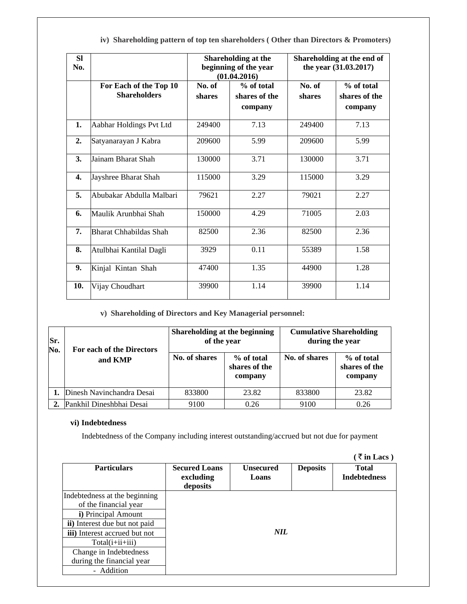| <b>SI</b><br>No. |                                               |                  | <b>Shareholding at the</b><br>beginning of the year<br>(01.04.2016) | Shareholding at the end of<br>the year (31.03.2017) |                                        |  |
|------------------|-----------------------------------------------|------------------|---------------------------------------------------------------------|-----------------------------------------------------|----------------------------------------|--|
|                  | For Each of the Top 10<br><b>Shareholders</b> | No. of<br>shares | % of total<br>shares of the<br>company                              | No. of<br>shares                                    | % of total<br>shares of the<br>company |  |
| 1.               | Aabhar Holdings Pvt Ltd                       | 249400           | 7.13                                                                | 249400                                              | 7.13                                   |  |
| $\overline{2}$ . | Satyanarayan J Kabra                          | 209600           | 5.99                                                                | 209600                                              | 5.99                                   |  |
| 3.               | Jainam Bharat Shah                            | 130000           | 3.71                                                                | 130000                                              | 3.71                                   |  |
| 4.               | Jayshree Bharat Shah                          | 115000           | 3.29                                                                | 115000                                              | 3.29                                   |  |
| 5.               | Abubakar Abdulla Malbari                      | 79621            | 2.27                                                                | 79021                                               | 2.27                                   |  |
| 6.               | Maulik Arunbhai Shah                          | 150000           | 4.29                                                                | 71005                                               | 2.03                                   |  |
| 7.               | <b>Bharat Chhabildas Shah</b>                 | 82500            | 2.36                                                                | 82500                                               | 2.36                                   |  |
| 8.               | Atulbhai Kantilal Dagli                       | 3929             | 0.11                                                                | 55389                                               | 1.58                                   |  |
| 9.               | Kinjal Kintan Shah                            | 47400            | 1.35                                                                | 44900                                               | 1.28                                   |  |
| 10.              | Vijay Choudhart                               | 39900            | 1.14                                                                | 39900                                               | 1.14                                   |  |

**iv) Shareholding pattern of top ten shareholders ( Other than Directors & Promoters)** 

### **v) Shareholding of Directors and Key Managerial personnel:**

| Sr.<br>No. | For each of the Directors | Shareholding at the beginning<br>of the year |                                        | <b>Cumulative Shareholding</b><br>during the year |                                        |  |
|------------|---------------------------|----------------------------------------------|----------------------------------------|---------------------------------------------------|----------------------------------------|--|
|            | and KMP                   | No. of shares                                | % of total<br>shares of the<br>company | No. of shares                                     | % of total<br>shares of the<br>company |  |
|            | Dinesh Navinchandra Desai | 833800                                       | 23.82                                  | 833800                                            | 23.82                                  |  |
|            | Pankhil Dineshbhai Desai  | 9100                                         | 0.26                                   | 9100                                              | 0.26                                   |  |

#### **vi) Indebtedness**

Indebtedness of the Company including interest outstanding/accrued but not due for payment

|                               |                                               |                           |                 | $(\bar{z}$ in Lacs)                 |
|-------------------------------|-----------------------------------------------|---------------------------|-----------------|-------------------------------------|
| <b>Particulars</b>            | <b>Secured Loans</b><br>excluding<br>deposits | <b>Unsecured</b><br>Loans | <b>Deposits</b> | <b>Total</b><br><b>Indebtedness</b> |
| Indebtedness at the beginning |                                               |                           |                 |                                     |
| of the financial year         |                                               |                           |                 |                                     |
| i) Principal Amount           |                                               |                           |                 |                                     |
| ii) Interest due but not paid |                                               |                           |                 |                                     |
| iii) Interest accrued but not |                                               | <b>NIL</b>                |                 |                                     |
| Total(i+ii+iii)               |                                               |                           |                 |                                     |
| Change in Indebtedness        |                                               |                           |                 |                                     |
| during the financial year     |                                               |                           |                 |                                     |
| - Addition                    |                                               |                           |                 |                                     |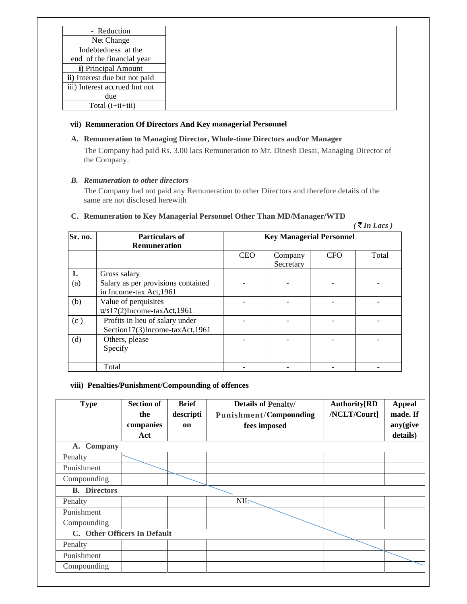| - Reduction                   |
|-------------------------------|
| Net Change                    |
| Indebtedness at the           |
| end of the financial year     |
| <i>i</i> ) Principal Amount   |
| ii) Interest due but not paid |
| iii) Interest accrued but not |
| due                           |
| Total (i+ii+iii)              |

#### **vii) Remuneration Of Directors And Key managerial Personnel**

### **A. Remuneration to Managing Director, Whole-time Directors and/or Manager**

The Company had paid Rs. 3.00 lacs Remuneration to Mr. Dinesh Desai, Managing Director of the Company.

# *B. Remuneration to other directors*

The Company had not paid any Remuneration to other Directors and therefore details of the same are not disclosed herewith

# **C. Remuneration to Key Managerial Personnel Other Than MD/Manager/WTD**

|         |                                                                   |                                 |                      |            | $($ ₹ In Lacs) |  |
|---------|-------------------------------------------------------------------|---------------------------------|----------------------|------------|----------------|--|
| Sr. no. | <b>Particulars of</b><br><b>Remuneration</b>                      | <b>Key Managerial Personnel</b> |                      |            |                |  |
|         |                                                                   | <b>CEO</b>                      | Company<br>Secretary | <b>CFO</b> | Total          |  |
| 1.      | Gross salary                                                      |                                 |                      |            |                |  |
| (a)     | Salary as per provisions contained<br>in Income-tax Act, 1961     |                                 |                      |            |                |  |
| (b)     | Value of perquisites<br>$u/s17(2)$ Income-taxAct,1961             |                                 |                      |            |                |  |
| (c)     | Profits in lieu of salary under<br>Section17(3)Income-taxAct,1961 |                                 |                      |            |                |  |
| (d)     | Others, please<br>Specify                                         |                                 |                      |            |                |  |
|         | Total                                                             |                                 |                      |            |                |  |

#### **viii) Penalties/Punishment/Compounding of offences**

| <b>Type</b>                  | <b>Section of</b><br>the | <b>Brief</b><br>descripti | <b>Details of Penalty/</b><br><b>Punishment/Compounding</b> | <b>Authority[RD</b><br>/NCLT/Court] | <b>Appeal</b><br>made. If |
|------------------------------|--------------------------|---------------------------|-------------------------------------------------------------|-------------------------------------|---------------------------|
|                              | companies                | on                        | fees imposed                                                |                                     | any(give                  |
|                              | Act                      |                           |                                                             |                                     | details)                  |
| A. Company                   |                          |                           |                                                             |                                     |                           |
| Penalty                      |                          |                           |                                                             |                                     |                           |
| Punishment                   |                          |                           |                                                             |                                     |                           |
| Compounding                  |                          |                           |                                                             |                                     |                           |
| <b>B.</b> Directors          |                          |                           |                                                             |                                     |                           |
| Penalty                      |                          |                           | <b>NIL-</b>                                                 |                                     |                           |
| Punishment                   |                          |                           |                                                             |                                     |                           |
| Compounding                  |                          |                           |                                                             |                                     |                           |
| C. Other Officers In Default |                          |                           |                                                             |                                     |                           |
| Penalty                      |                          |                           |                                                             |                                     |                           |
| Punishment                   |                          |                           |                                                             |                                     |                           |
| Compounding                  |                          |                           |                                                             |                                     |                           |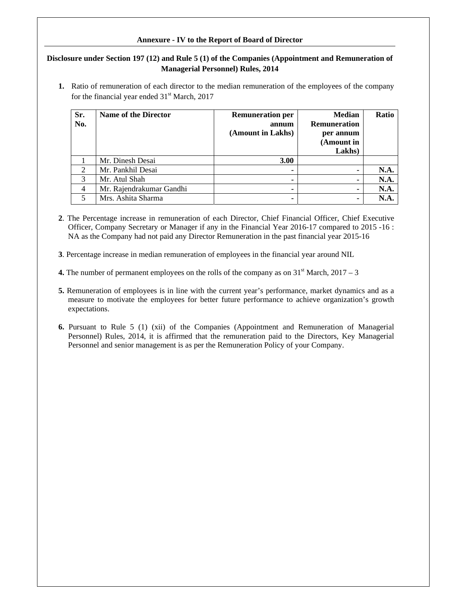#### **Annexure - IV to the Report of Board of Director**

### **Disclosure under Section 197 (12) and Rule 5 (1) of the Companies (Appointment and Remuneration of Managerial Personnel) Rules, 2014**

**1.** Ratio of remuneration of each director to the median remuneration of the employees of the company for the financial year ended  $31<sup>st</sup>$  March, 2017

| Sr.<br>No.     | <b>Name of the Director</b> | <b>Remuneration per</b><br>annum<br>(Amount in Lakhs) | <b>Median</b><br><b>Remuneration</b><br>per annum<br>(Amount in<br>Lakhs) | <b>Ratio</b> |
|----------------|-----------------------------|-------------------------------------------------------|---------------------------------------------------------------------------|--------------|
|                | Mr. Dinesh Desai            | <b>3.00</b>                                           |                                                                           |              |
| $\overline{2}$ | Mr. Pankhil Desai           | -                                                     |                                                                           | <b>N.A.</b>  |
| 3              | Mr. Atul Shah               | $\blacksquare$                                        |                                                                           | N.A.         |
| $\overline{4}$ | Mr. Rajendrakumar Gandhi    |                                                       |                                                                           | N.A.         |
| 5              | Mrs. Ashita Sharma          |                                                       |                                                                           | N.A.         |

- **2**. The Percentage increase in remuneration of each Director, Chief Financial Officer, Chief Executive Officer, Company Secretary or Manager if any in the Financial Year 2016-17 compared to 2015 -16 : NA as the Company had not paid any Director Remuneration in the past financial year 2015-16
- **3**. Percentage increase in median remuneration of employees in the financial year around NIL
- **4.** The number of permanent employees on the rolls of the company as on  $31<sup>st</sup>$  March,  $2017 3$
- **5.** Remuneration of employees is in line with the current year's performance, market dynamics and as a measure to motivate the employees for better future performance to achieve organization's growth expectations.
- **6.** Pursuant to Rule 5 (1) (xii) of the Companies (Appointment and Remuneration of Managerial Personnel) Rules, 2014, it is affirmed that the remuneration paid to the Directors, Key Managerial Personnel and senior management is as per the Remuneration Policy of your Company.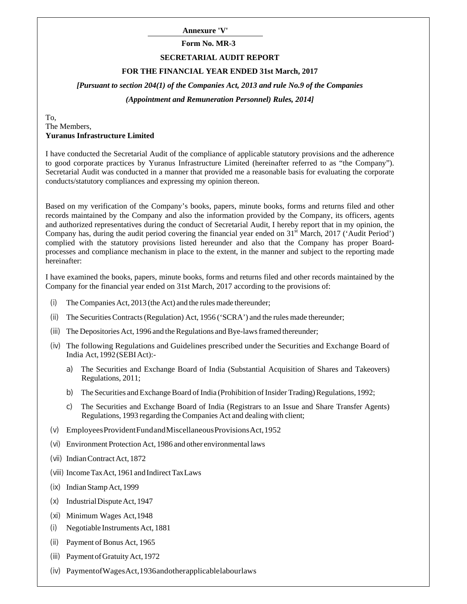**Annexure 'V'** 

# **Form No. MR-3**

#### **SECRETARIAL AUDIT REPORT**

#### **FOR THE FINANCIAL YEAR ENDED 31st March, 2017**

*[Pursuant to section 204(1) of the Companies Act, 2013 and rule No.9 of the Companies (Appointment and Remuneration Personnel) Rules, 2014]*

To, The Members, **Yuranus Infrastructure Limited**

I have conducted the Secretarial Audit of the compliance of applicable statutory provisions and the adherence to good corporate practices by Yuranus Infrastructure Limited (hereinafter referred to as "the Company"). Secretarial Audit was conducted in a manner that provided me a reasonable basis for evaluating the corporate conducts/statutory compliances and expressing my opinion thereon.

Based on my verification of the Company's books, papers, minute books, forms and returns filed and other records maintained by the Company and also the information provided by the Company, its officers, agents and authorized representatives during the conduct of Secretarial Audit, I hereby report that in my opinion, the Company has, during the audit period covering the financial year ended on  $31<sup>st</sup>$  March, 2017 ('Audit Period') complied with the statutory provisions listed hereunder and also that the Company has proper Boardprocesses and compliance mechanism in place to the extent, in the manner and subject to the reporting made hereinafter:

I have examined the books, papers, minute books, forms and returns filed and other records maintained by the Company for the financial year ended on 31st March, 2017 according to the provisions of:

- (i) The Companies Act, 2013 (the Act) and the rules made thereunder;
- (ii) The Securities Contracts (Regulation) Act, 1956 ('SCRA') and the rules made thereunder;
- (iii) The Depositories Act, 1996 and the Regulations and Bye-laws framed thereunder;
- (iv) The following Regulations and Guidelines prescribed under the Securities and Exchange Board of India Act, 1992 (SEBI Act):
	- a) The Securities and Exchange Board of India (Substantial Acquisition of Shares and Takeovers) Regulations, 2011;
	- b) The Securities and Exchange Board of India (Prohibition of Insider Trading) Regulations, 1992;
	- c) The Securities and Exchange Board of India (Registrars to an Issue and Share Transfer Agents) Regulations, 1993 regarding the Companies Act and dealing with client;
- (v) Employees Provident Fund and Miscellaneous Provisions Act, 1952
- (vi) Environment Protection Act, 1986 and other environmental laws
- (vii) Indian Contract Act, 1872
- (viii) Income Tax Act, 1961 and Indirect Tax Laws
- (ix) Indian Stamp Act, 1999
- (x) Industrial Dispute Act, 1947
- (xi) Minimum Wages Act, 1948
- (i) Negotiable Instruments Act, 1881
- (ii) Payment of Bonus Act, 1965
- (iii) Payment of Gratuity Act, 1972
- (iv) Payment of Wages Act, 1936 and other applicable labour laws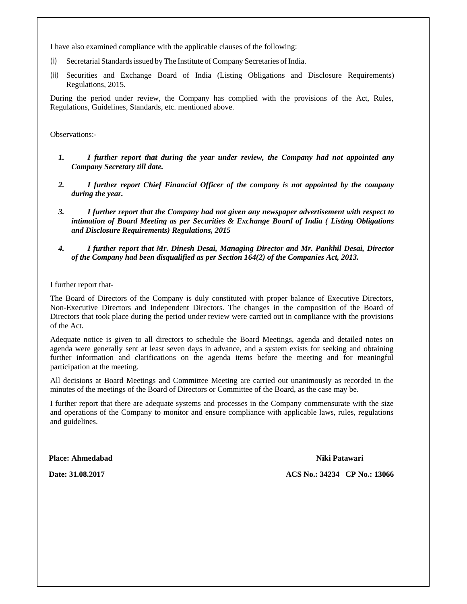I have also examined compliance with the applicable clauses of the following:

- (i) Secretarial Standards issued by The Institute of Company Secretaries of India.
- (ii) Securities and Exchange Board of India (Listing Obligations and Disclosure Requirements) Regulations, 2015.

During the period under review, the Company has complied with the provisions of the Act, Rules, Regulations, Guidelines, Standards, etc. mentioned above.

Observations:-

- *1. I further report that during the year under review, the Company had not appointed any Company Secretary till date.*
- *2. I further report Chief Financial Officer of the company is not appointed by the company during the year.*
- *3. I further report that the Company had not given any newspaper advertisement with respect to intimation of Board Meeting as per Securities & Exchange Board of India ( Listing Obligations and Disclosure Requirements) Regulations, 2015*
- *4. I further report that Mr. Dinesh Desai, Managing Director and Mr. Pankhil Desai, Director of the Company had been disqualified as per Section 164(2) of the Companies Act, 2013.*

I further report that-

The Board of Directors of the Company is duly constituted with proper balance of Executive Directors, Non-Executive Directors and Independent Directors. The changes in the composition of the Board of Directors that took place during the period under review were carried out in compliance with the provisions of the Act.

Adequate notice is given to all directors to schedule the Board Meetings, agenda and detailed notes on agenda were generally sent at least seven days in advance, and a system exists for seeking and obtaining further information and clarifications on the agenda items before the meeting and for meaningful participation at the meeting.

All decisions at Board Meetings and Committee Meeting are carried out unanimously as recorded in the minutes of the meetings of the Board of Directors or Committee of the Board, as the case may be.

I further report that there are adequate systems and processes in the Company commensurate with the size and operations of the Company to monitor and ensure compliance with applicable laws, rules, regulations and guidelines.

**Place: Ahmedabad Niki Patawari**

**Date: 31.08.2017 ACS No.: 34234 CP No.: 13066**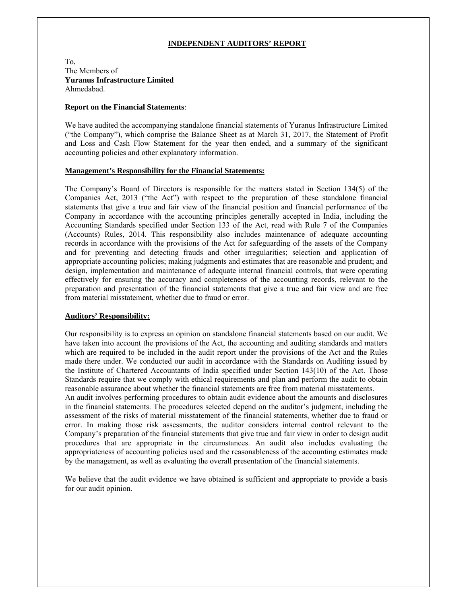#### **INDEPENDENT AUDITORS' REPORT**

To, The Members of **Yuranus Infrastructure Limited**  Ahmedabad.

#### **Report on the Financial Statements**:

We have audited the accompanying standalone financial statements of Yuranus Infrastructure Limited ("the Company"), which comprise the Balance Sheet as at March 31, 2017, the Statement of Profit and Loss and Cash Flow Statement for the year then ended, and a summary of the significant accounting policies and other explanatory information.

#### **Management's Responsibility for the Financial Statements:**

The Company's Board of Directors is responsible for the matters stated in Section 134(5) of the Companies Act, 2013 ("the Act") with respect to the preparation of these standalone financial statements that give a true and fair view of the financial position and financial performance of the Company in accordance with the accounting principles generally accepted in India, including the Accounting Standards specified under Section 133 of the Act, read with Rule 7 of the Companies (Accounts) Rules, 2014. This responsibility also includes maintenance of adequate accounting records in accordance with the provisions of the Act for safeguarding of the assets of the Company and for preventing and detecting frauds and other irregularities; selection and application of appropriate accounting policies; making judgments and estimates that are reasonable and prudent; and design, implementation and maintenance of adequate internal financial controls, that were operating effectively for ensuring the accuracy and completeness of the accounting records, relevant to the preparation and presentation of the financial statements that give a true and fair view and are free from material misstatement, whether due to fraud or error.

#### **Auditors' Responsibility:**

Our responsibility is to express an opinion on standalone financial statements based on our audit. We have taken into account the provisions of the Act, the accounting and auditing standards and matters which are required to be included in the audit report under the provisions of the Act and the Rules made there under. We conducted our audit in accordance with the Standards on Auditing issued by the Institute of Chartered Accountants of India specified under Section 143(10) of the Act. Those Standards require that we comply with ethical requirements and plan and perform the audit to obtain reasonable assurance about whether the financial statements are free from material misstatements.

An audit involves performing procedures to obtain audit evidence about the amounts and disclosures in the financial statements. The procedures selected depend on the auditor's judgment, including the assessment of the risks of material misstatement of the financial statements, whether due to fraud or error. In making those risk assessments, the auditor considers internal control relevant to the Company's preparation of the financial statements that give true and fair view in order to design audit procedures that are appropriate in the circumstances. An audit also includes evaluating the appropriateness of accounting policies used and the reasonableness of the accounting estimates made by the management, as well as evaluating the overall presentation of the financial statements.

We believe that the audit evidence we have obtained is sufficient and appropriate to provide a basis for our audit opinion.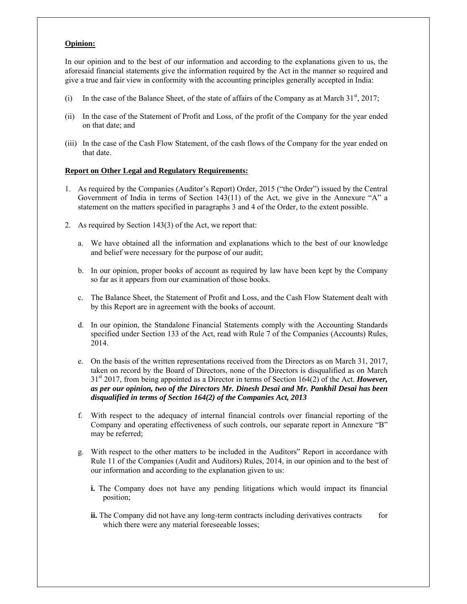#### **Opinion:**

In our opinion and to the best of our information and according to the explanations given to us, the aforesaid financial statements give the information required by the Act in the manner so required and give a true and fair view in conformity with the accounting principles generally accepted in India:

- (i) In the case of the Balance Sheet, of the state of affairs of the Company as at March  $31<sup>st</sup>$ , 2017;
- (ii) In the case of the Statement of Profit and Loss, of the profit of the Company for the year ended on that date; and
- (iii) In the case of the Cash Flow Statement, of the cash flows of the Company for the year ended on that date.

#### **Report on Other Legal and Regulatory Requirements:**

- 1. As required by the Companies (Auditor's Report) Order, 2015 ("the Order") issued by the Central Government of India in terms of Section 143(11) of the Act, we give in the Annexure "A" a statement on the matters specified in paragraphs 3 and 4 of the Order, to the extent possible.
- 2. As required by Section 143(3) of the Act, we report that:
	- a. We have obtained all the information and explanations which to the best of our knowledge and belief were necessary for the purpose of our audit;
	- b. In our opinion, proper books of account as required by law have been kept by the Company so far as it appears from our examination of those books.
	- c. The Balance Sheet, the Statement of Profit and Loss, and the Cash Flow Statement dealt with by this Report are in agreement with the books of account.
	- d. In our opinion, the Standalone Financial Statements comply with the Accounting Standards specified under Section 133 of the Act, read with Rule 7 of the Companies (Accounts) Rules, 2014.
	- e. On the basis of the written representations received from the Directors as on March 31, 2017, taken on record by the Board of Directors, none of the Directors is disqualified as on March 31st 2017, from being appointed as a Director in terms of Section 164(2) of the Act. *However, as per our opinion, two of the Directors Mr. Dinesh Desai and Mr. Pankhil Desai has been disqualified in terms of Section 164(2) of the Companies Act, 2013*
	- f. With respect to the adequacy of internal financial controls over financial reporting of the Company and operating effectiveness of such controls, our separate report in Annexure "B" may be referred;
	- g. With respect to the other matters to be included in the Auditors" Report in accordance with Rule 11 of the Companies (Audit and Auditors) Rules, 2014, in our opinion and to the best of our information and according to the explanation given to us:
		- **i.** The Company does not have any pending litigations which would impact its financial position;
		- **ii.** The Company did not have any long-term contracts including derivatives contracts for which there were any material foreseeable losses;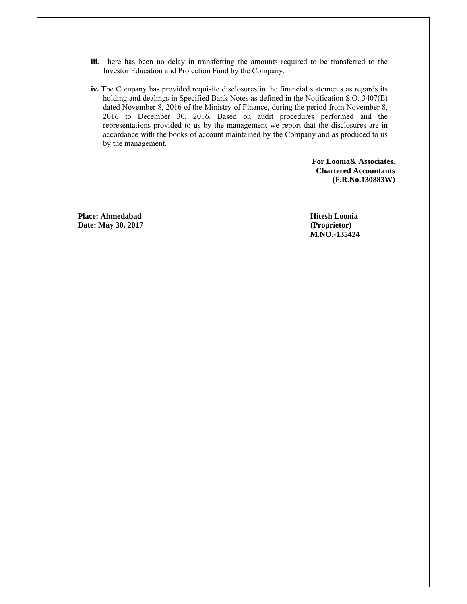- **iii.** There has been no delay in transferring the amounts required to be transferred to the Investor Education and Protection Fund by the Company.
- **iv.** The Company has provided requisite disclosures in the financial statements as regards its holding and dealings in Specified Bank Notes as defined in the Notification S.O. 3407(E) dated November 8, 2016 of the Ministry of Finance, during the period from November 8, 2016 to December 30, 2016. Based on audit procedures performed and the representations provided to us by the management we report that the disclosures are in accordance with the books of account maintained by the Company and as produced to us by the management.

**For Loonia& Associates. Chartered Accountants (F.R.No.130883W)** 

**Place: Ahmedabad Annual Hitesh Loonia and Hitesh Loonia Date: May 30, 2017 (Proprietor)** 

**M.NO.-135424**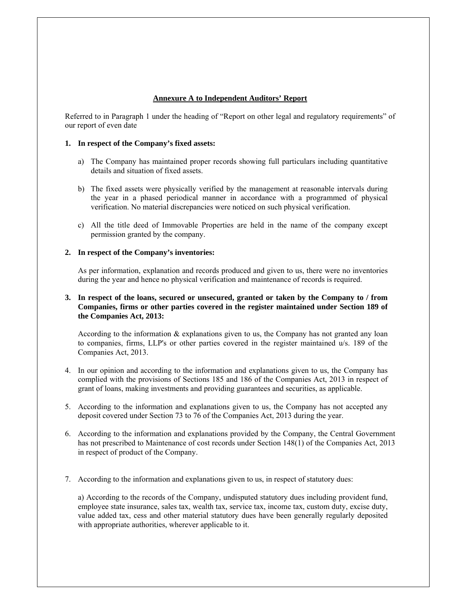#### **Annexure A to Independent Auditors' Report**

Referred to in Paragraph 1 under the heading of "Report on other legal and regulatory requirements" of our report of even date

#### **1. In respect of the Company's fixed assets:**

- a) The Company has maintained proper records showing full particulars including quantitative details and situation of fixed assets.
- b) The fixed assets were physically verified by the management at reasonable intervals during the year in a phased periodical manner in accordance with a programmed of physical verification. No material discrepancies were noticed on such physical verification.
- c) All the title deed of Immovable Properties are held in the name of the company except permission granted by the company.

#### **2. In respect of the Company's inventories:**

As per information, explanation and records produced and given to us, there were no inventories during the year and hence no physical verification and maintenance of records is required.

#### **3. In respect of the loans, secured or unsecured, granted or taken by the Company to / from Companies, firms or other parties covered in the register maintained under Section 189 of the Companies Act, 2013:**

According to the information & explanations given to us, the Company has not granted any loan to companies, firms, LLP's or other parties covered in the register maintained u/s. 189 of the Companies Act, 2013.

- 4. In our opinion and according to the information and explanations given to us, the Company has complied with the provisions of Sections 185 and 186 of the Companies Act, 2013 in respect of grant of loans, making investments and providing guarantees and securities, as applicable.
- 5. According to the information and explanations given to us, the Company has not accepted any deposit covered under Section 73 to 76 of the Companies Act, 2013 during the year.
- 6. According to the information and explanations provided by the Company, the Central Government has not prescribed to Maintenance of cost records under Section 148(1) of the Companies Act, 2013 in respect of product of the Company.
- 7. According to the information and explanations given to us, in respect of statutory dues:

a) According to the records of the Company, undisputed statutory dues including provident fund, employee state insurance, sales tax, wealth tax, service tax, income tax, custom duty, excise duty, value added tax, cess and other material statutory dues have been generally regularly deposited with appropriate authorities, wherever applicable to it.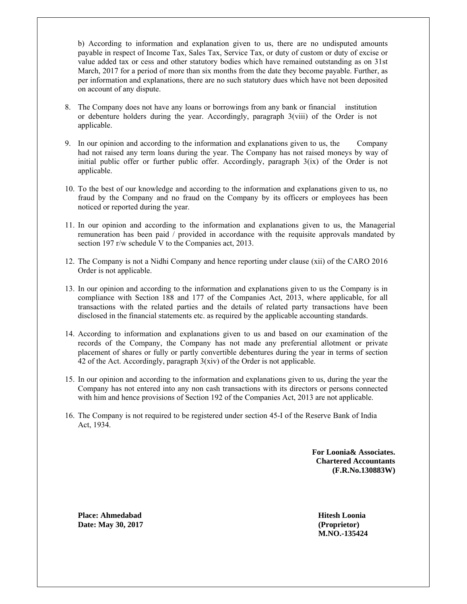b) According to information and explanation given to us, there are no undisputed amounts payable in respect of Income Tax, Sales Tax, Service Tax, or duty of custom or duty of excise or value added tax or cess and other statutory bodies which have remained outstanding as on 31st March, 2017 for a period of more than six months from the date they become payable. Further, as per information and explanations, there are no such statutory dues which have not been deposited on account of any dispute.

- 8. The Company does not have any loans or borrowings from any bank or financial institution or debenture holders during the year. Accordingly, paragraph 3(viii) of the Order is not applicable.
- 9. In our opinion and according to the information and explanations given to us, the Company had not raised any term loans during the year. The Company has not raised moneys by way of initial public offer or further public offer. Accordingly, paragraph 3(ix) of the Order is not applicable.
- 10. To the best of our knowledge and according to the information and explanations given to us, no fraud by the Company and no fraud on the Company by its officers or employees has been noticed or reported during the year.
- 11. In our opinion and according to the information and explanations given to us, the Managerial remuneration has been paid / provided in accordance with the requisite approvals mandated by section 197 r/w schedule V to the Companies act, 2013.
- 12. The Company is not a Nidhi Company and hence reporting under clause (xii) of the CARO 2016 Order is not applicable.
- 13. In our opinion and according to the information and explanations given to us the Company is in compliance with Section 188 and 177 of the Companies Act, 2013, where applicable, for all transactions with the related parties and the details of related party transactions have been disclosed in the financial statements etc. as required by the applicable accounting standards.
- 14. According to information and explanations given to us and based on our examination of the records of the Company, the Company has not made any preferential allotment or private placement of shares or fully or partly convertible debentures during the year in terms of section 42 of the Act. Accordingly, paragraph 3(xiv) of the Order is not applicable.
- 15. In our opinion and according to the information and explanations given to us, during the year the Company has not entered into any non cash transactions with its directors or persons connected with him and hence provisions of Section 192 of the Companies Act, 2013 are not applicable.
- 16. The Company is not required to be registered under section 45-I of the Reserve Bank of India Act, 1934.

**For Loonia& Associates. Chartered Accountants (F.R.No.130883W)** 

**Place: Ahmedabad Hitesh Loonia Date: May 30, 2017 (Proprietor)** 

 **M.NO.-135424**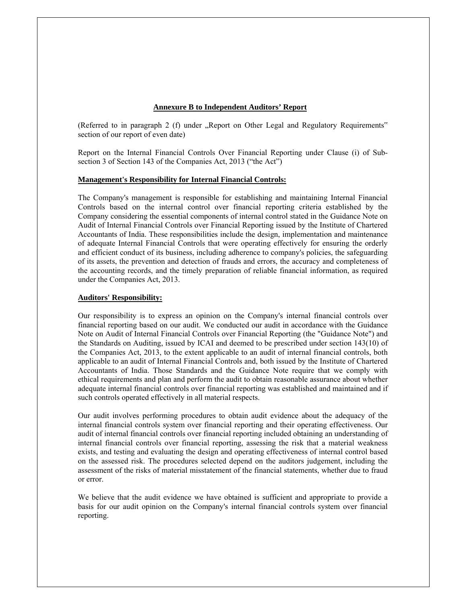#### **Annexure B to Independent Auditors' Report**

(Referred to in paragraph 2 (f) under "Report on Other Legal and Regulatory Requirements" section of our report of even date)

Report on the Internal Financial Controls Over Financial Reporting under Clause (i) of Subsection 3 of Section 143 of the Companies Act, 2013 ("the Act")

#### **Management's Responsibility for Internal Financial Controls:**

The Company's management is responsible for establishing and maintaining Internal Financial Controls based on the internal control over financial reporting criteria established by the Company considering the essential components of internal control stated in the Guidance Note on Audit of Internal Financial Controls over Financial Reporting issued by the Institute of Chartered Accountants of India. These responsibilities include the design, implementation and maintenance of adequate Internal Financial Controls that were operating effectively for ensuring the orderly and efficient conduct of its business, including adherence to company's policies, the safeguarding of its assets, the prevention and detection of frauds and errors, the accuracy and completeness of the accounting records, and the timely preparation of reliable financial information, as required under the Companies Act, 2013.

#### **Auditors' Responsibility:**

Our responsibility is to express an opinion on the Company's internal financial controls over financial reporting based on our audit. We conducted our audit in accordance with the Guidance Note on Audit of Internal Financial Controls over Financial Reporting (the "Guidance Note") and the Standards on Auditing, issued by ICAI and deemed to be prescribed under section 143(10) of the Companies Act, 2013, to the extent applicable to an audit of internal financial controls, both applicable to an audit of Internal Financial Controls and, both issued by the Institute of Chartered Accountants of India. Those Standards and the Guidance Note require that we comply with ethical requirements and plan and perform the audit to obtain reasonable assurance about whether adequate internal financial controls over financial reporting was established and maintained and if such controls operated effectively in all material respects.

Our audit involves performing procedures to obtain audit evidence about the adequacy of the internal financial controls system over financial reporting and their operating effectiveness. Our audit of internal financial controls over financial reporting included obtaining an understanding of internal financial controls over financial reporting, assessing the risk that a material weakness exists, and testing and evaluating the design and operating effectiveness of internal control based on the assessed risk. The procedures selected depend on the auditors judgement, including the assessment of the risks of material misstatement of the financial statements, whether due to fraud or error.

We believe that the audit evidence we have obtained is sufficient and appropriate to provide a basis for our audit opinion on the Company's internal financial controls system over financial reporting.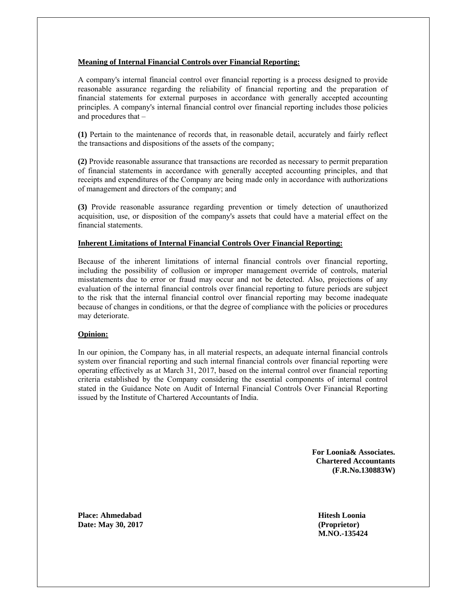#### **Meaning of Internal Financial Controls over Financial Reporting:**

A company's internal financial control over financial reporting is a process designed to provide reasonable assurance regarding the reliability of financial reporting and the preparation of financial statements for external purposes in accordance with generally accepted accounting principles. A company's internal financial control over financial reporting includes those policies and procedures that –

**(1)** Pertain to the maintenance of records that, in reasonable detail, accurately and fairly reflect the transactions and dispositions of the assets of the company;

**(2)** Provide reasonable assurance that transactions are recorded as necessary to permit preparation of financial statements in accordance with generally accepted accounting principles, and that receipts and expenditures of the Company are being made only in accordance with authorizations of management and directors of the company; and

**(3)** Provide reasonable assurance regarding prevention or timely detection of unauthorized acquisition, use, or disposition of the company's assets that could have a material effect on the financial statements.

#### **Inherent Limitations of Internal Financial Controls Over Financial Reporting:**

Because of the inherent limitations of internal financial controls over financial reporting, including the possibility of collusion or improper management override of controls, material misstatements due to error or fraud may occur and not be detected. Also, projections of any evaluation of the internal financial controls over financial reporting to future periods are subject to the risk that the internal financial control over financial reporting may become inadequate because of changes in conditions, or that the degree of compliance with the policies or procedures may deteriorate.

#### **Opinion:**

In our opinion, the Company has, in all material respects, an adequate internal financial controls system over financial reporting and such internal financial controls over financial reporting were operating effectively as at March 31, 2017, based on the internal control over financial reporting criteria established by the Company considering the essential components of internal control stated in the Guidance Note on Audit of Internal Financial Controls Over Financial Reporting issued by the Institute of Chartered Accountants of India.

> **For Loonia& Associates. Chartered Accountants (F.R.No.130883W)**

**Place: Ahmedabad Hitesh Loonia Date: May 30, 2017 (Proprietor)** 

 **M.NO.-135424**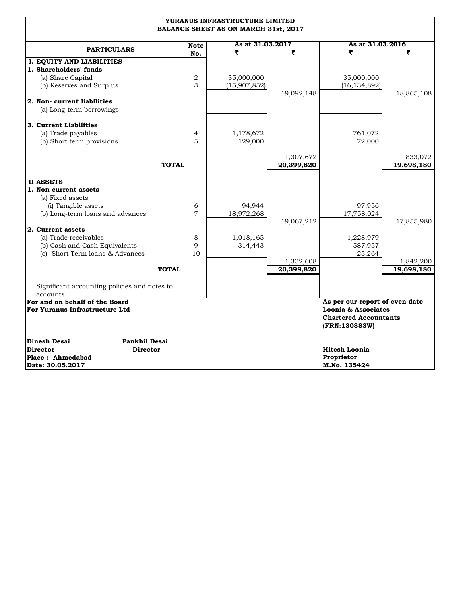| As at 31.03.2017<br>As at 31.03.2016<br><b>Note</b><br><b>PARTICULARS</b><br>₹<br>₹<br>₹<br>₹<br>No.<br>I. EQUITY AND LIABILITIES<br>1. Shareholders' funds<br>(a) Share Capital<br>2<br>35,000,000<br>35,000,000 |            |  |  |  |  |  |
|-------------------------------------------------------------------------------------------------------------------------------------------------------------------------------------------------------------------|------------|--|--|--|--|--|
|                                                                                                                                                                                                                   |            |  |  |  |  |  |
|                                                                                                                                                                                                                   |            |  |  |  |  |  |
|                                                                                                                                                                                                                   |            |  |  |  |  |  |
|                                                                                                                                                                                                                   |            |  |  |  |  |  |
|                                                                                                                                                                                                                   |            |  |  |  |  |  |
| (b) Reserves and Surplus<br>3<br>(16, 134, 892)<br>(15,907,852)                                                                                                                                                   |            |  |  |  |  |  |
| 19,092,148                                                                                                                                                                                                        | 18,865,108 |  |  |  |  |  |
| 2. Non-current liabilities                                                                                                                                                                                        |            |  |  |  |  |  |
| (a) Long-term borrowings                                                                                                                                                                                          |            |  |  |  |  |  |
|                                                                                                                                                                                                                   |            |  |  |  |  |  |
| 3. Current Liabilities                                                                                                                                                                                            |            |  |  |  |  |  |
| (a) Trade payables<br>1,178,672<br>761,072<br>4<br>5<br>129,000<br>72,000<br>(b) Short term provisions                                                                                                            |            |  |  |  |  |  |
|                                                                                                                                                                                                                   |            |  |  |  |  |  |
| 1,307,672                                                                                                                                                                                                         | 833,072    |  |  |  |  |  |
| 20,399,820<br><b>TOTAL</b>                                                                                                                                                                                        | 19,698,180 |  |  |  |  |  |
|                                                                                                                                                                                                                   |            |  |  |  |  |  |
| II ASSETS                                                                                                                                                                                                         |            |  |  |  |  |  |
| 1. Non-current assets                                                                                                                                                                                             |            |  |  |  |  |  |
| (a) Fixed assets                                                                                                                                                                                                  |            |  |  |  |  |  |
| 94,944<br>97,956<br>(i) Tangible assets<br>6                                                                                                                                                                      |            |  |  |  |  |  |
| $\overline{7}$<br>(b) Long-term loans and advances<br>18,972,268<br>17,758,024                                                                                                                                    |            |  |  |  |  |  |
| 19,067,212                                                                                                                                                                                                        | 17,855,980 |  |  |  |  |  |
| 2. Current assets                                                                                                                                                                                                 |            |  |  |  |  |  |
| (a) Trade receivables<br>8<br>1,018,165<br>1,228,979                                                                                                                                                              |            |  |  |  |  |  |
| 9<br>(b) Cash and Cash Equivalents<br>314,443<br>587,957                                                                                                                                                          |            |  |  |  |  |  |
| (c) Short Term loans & Advances<br>10<br>25,264                                                                                                                                                                   |            |  |  |  |  |  |
| 1,332,608<br>20,399,820<br><b>TOTAL</b>                                                                                                                                                                           | 1,842,200  |  |  |  |  |  |
|                                                                                                                                                                                                                   | 19,698,180 |  |  |  |  |  |
| Significant accounting policies and notes to                                                                                                                                                                      |            |  |  |  |  |  |
| accounts                                                                                                                                                                                                          |            |  |  |  |  |  |
| For and on behalf of the Board<br>As per our report of even date                                                                                                                                                  |            |  |  |  |  |  |
| For Yuranus Infrastructure Ltd<br>Loonia & Associates                                                                                                                                                             |            |  |  |  |  |  |
| <b>Chartered Accountants</b>                                                                                                                                                                                      |            |  |  |  |  |  |
| (FRN:130883W)                                                                                                                                                                                                     |            |  |  |  |  |  |
|                                                                                                                                                                                                                   |            |  |  |  |  |  |
| <b>Pankhil Desai</b><br>Dinesh Desai<br><b>Hitesh Loonia</b><br><b>Director</b><br><b>Director</b>                                                                                                                |            |  |  |  |  |  |
| Place: Ahmedabad<br>Proprietor                                                                                                                                                                                    |            |  |  |  |  |  |
| M.No. 135424<br>Date: 30.05.2017                                                                                                                                                                                  |            |  |  |  |  |  |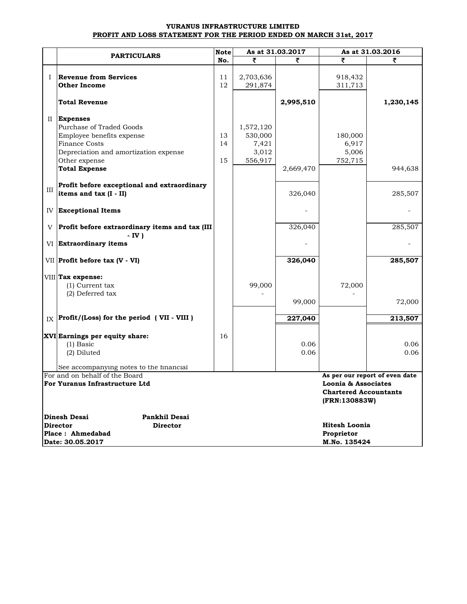#### **YURANUS INFRASTRUCTURE LIMITED PROFIT AND LOSS STATEMENT FOR THE PERIOD ENDED ON MARCH 31st, 2017**

|     |                                                  |     |           | As at 31.03.2017 | As at 31.03.2016                                                     |                                |
|-----|--------------------------------------------------|-----|-----------|------------------|----------------------------------------------------------------------|--------------------------------|
|     | <b>PARTICULARS</b>                               | No. | ₹         | ₹                | ₹                                                                    | ₹                              |
|     |                                                  |     |           |                  |                                                                      |                                |
| L   | <b>Revenue from Services</b>                     | 11  | 2,703,636 |                  | 918,432                                                              |                                |
|     | <b>Other Income</b>                              | 12  | 291,874   |                  | 311,713                                                              |                                |
|     | <b>Total Revenue</b>                             |     |           | 2,995,510        |                                                                      | 1,230,145                      |
|     | II Expenses                                      |     |           |                  |                                                                      |                                |
|     | Purchase of Traded Goods                         |     | 1,572,120 |                  |                                                                      |                                |
|     | Employee benefits expense                        | 13  | 530,000   |                  | 180,000                                                              |                                |
|     | <b>Finance Costs</b>                             | 14  | 7,421     |                  | 6,917                                                                |                                |
|     | Depreciation and amortization expense            |     | 3,012     |                  | 5,006                                                                |                                |
|     | Other expense                                    | 15  | 556,917   |                  | 752,715                                                              |                                |
|     | <b>Total Expense</b>                             |     |           | 2,669,470        |                                                                      | 944,638                        |
| III | Profit before exceptional and extraordinary      |     |           |                  |                                                                      |                                |
|     | items and tax (I - II)                           |     |           | 326,040          |                                                                      | 285,507                        |
|     | <b>IV Exceptional Items</b>                      |     |           |                  |                                                                      |                                |
| V   | Profit before extraordinary items and tax (III   |     |           | 326,040          |                                                                      | 285,507                        |
|     | $-IV$ )<br>VI Extraordinary items                |     |           |                  |                                                                      |                                |
|     | $VII$ Profit before tax (V - VI)                 |     |           | 326,040          |                                                                      | 285,507                        |
|     | VIII Tax expense:                                |     |           |                  |                                                                      |                                |
|     | (1) Current tax                                  |     | 99,000    |                  | 72,000                                                               |                                |
|     | (2) Deferred tax                                 |     |           |                  |                                                                      |                                |
|     |                                                  |     |           | 99,000           |                                                                      | 72,000                         |
|     | $I_X$ Profit/(Loss) for the period (VII - VIII)  |     |           | 227,040          |                                                                      | 213,507                        |
|     |                                                  |     |           |                  |                                                                      |                                |
|     | XVI Earnings per equity share:                   | 16  |           |                  |                                                                      |                                |
|     | $(1)$ Basic                                      |     |           | 0.06             |                                                                      | 0.06                           |
|     | (2) Diluted                                      |     |           | 0.06             |                                                                      | 0.06                           |
|     | See accompanying notes to the financial          |     |           |                  |                                                                      |                                |
|     | For and on behalf of the Board                   |     |           |                  |                                                                      | As per our report of even date |
|     | For Yuranus Infrastructure Ltd                   |     |           |                  | Loonia & Associates<br><b>Chartered Accountants</b><br>(FRN:130883W) |                                |
|     |                                                  |     |           |                  |                                                                      |                                |
|     | Dinesh Desai<br>Pankhil Desai<br><b>Director</b> |     |           |                  |                                                                      |                                |
|     | <b>Director</b><br>Place: Ahmedabad              |     |           |                  | <b>Hitesh Loonia</b><br>Proprietor                                   |                                |
|     | Date: 30.05.2017                                 |     |           |                  | M.No. 135424                                                         |                                |
|     |                                                  |     |           |                  |                                                                      |                                |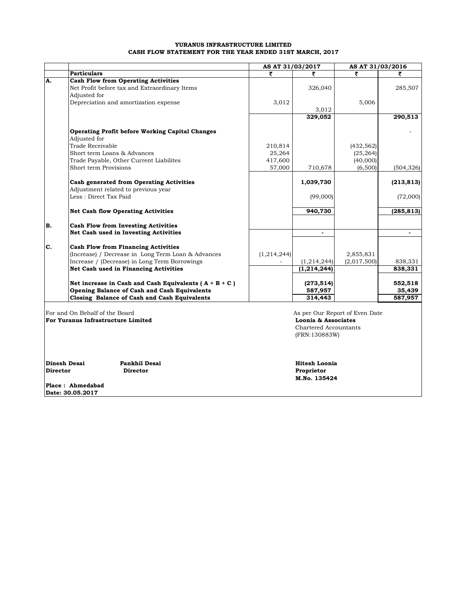#### **YURANUS INFRASTRUCTURE LIMITED CASH FLOW STATEMENT FOR THE YEAR ENDED 31ST MARCH, 2017**

| <b>Particulars</b><br>₹<br>₹<br>₹<br><b>Cash Flow from Operating Activities</b><br>Net Profit before tax and Extraordinary Items<br>326,040<br>285,507<br>Adjusted for<br>Depreciation and amortization expense<br>3,012<br>5,006<br>3,012<br>329,052<br>290,513<br><b>Operating Profit before Working Capital Changes</b><br>Adjusted for<br>Trade Receivable<br>210,814<br>(432, 562)<br>Short term Loans & Advances<br>25,264<br>(25, 264)<br>Trade Payable, Other Current Liabilites<br>417,600<br>(40,000)<br>Short term Provisions<br>57,000<br>710,678<br>(6,500)<br>(504, 326)<br>Cash generated from Operating Activities<br>1,039,730<br>(213, 813)<br>Adjustment related to previous year<br>Less: Direct Tax Paid<br>(99,000)<br>(72,000)<br><b>Net Cash flow Operating Activities</b><br>940,730<br>(285, 813)<br>B.<br><b>Cash Flow from Investing Activities</b><br>Net Cash used in Investing Activities<br>$\blacksquare$<br>$\blacksquare$<br>C.<br><b>Cash Flow from Financing Activities</b><br>(Increase) / Decrease in Long Term Loan & Advances<br>(1,214,244)<br>2,855,831<br>Increase / (Decrease) in Long Term Borrowings<br>(1,214,244)<br>(2,017,500)<br>838,331<br>Net Cash used in Financing Activities<br>(1, 214, 244)<br>838,331<br>Net increase in Cash and Cash Equivalents ( $A + B + C$ )<br>(273, 514)<br>552,518<br>Opening Balance of Cash and Cash Equivalents<br>35,439<br>587,957<br>Closing Balance of Cash and Cash Equivalents<br>314,443<br>587,957<br>For and On Behalf of the Board<br>As per Our Report of Even Date<br>For Yuranus Infrastructure Limited<br>Loonia & Associates<br>Chartered Accountants<br>(FRN:130883W)<br>Dinesh Desai<br>Pankhil Desai<br><b>Hitesh Loonia</b><br><b>Director</b><br><b>Director</b><br>Proprietor<br>M.No. 135424<br>Place: Ahmedabad |    | AS AT 31/03/2017 |  | AS AT 31/03/2016 |  |  |
|--------------------------------------------------------------------------------------------------------------------------------------------------------------------------------------------------------------------------------------------------------------------------------------------------------------------------------------------------------------------------------------------------------------------------------------------------------------------------------------------------------------------------------------------------------------------------------------------------------------------------------------------------------------------------------------------------------------------------------------------------------------------------------------------------------------------------------------------------------------------------------------------------------------------------------------------------------------------------------------------------------------------------------------------------------------------------------------------------------------------------------------------------------------------------------------------------------------------------------------------------------------------------------------------------------------------------------------------------------------------------------------------------------------------------------------------------------------------------------------------------------------------------------------------------------------------------------------------------------------------------------------------------------------------------------------------------------------------------------------------------------------------------------------------------------------------------------|----|------------------|--|------------------|--|--|
|                                                                                                                                                                                                                                                                                                                                                                                                                                                                                                                                                                                                                                                                                                                                                                                                                                                                                                                                                                                                                                                                                                                                                                                                                                                                                                                                                                                                                                                                                                                                                                                                                                                                                                                                                                                                                                |    |                  |  |                  |  |  |
|                                                                                                                                                                                                                                                                                                                                                                                                                                                                                                                                                                                                                                                                                                                                                                                                                                                                                                                                                                                                                                                                                                                                                                                                                                                                                                                                                                                                                                                                                                                                                                                                                                                                                                                                                                                                                                | A. |                  |  |                  |  |  |
|                                                                                                                                                                                                                                                                                                                                                                                                                                                                                                                                                                                                                                                                                                                                                                                                                                                                                                                                                                                                                                                                                                                                                                                                                                                                                                                                                                                                                                                                                                                                                                                                                                                                                                                                                                                                                                |    |                  |  |                  |  |  |
|                                                                                                                                                                                                                                                                                                                                                                                                                                                                                                                                                                                                                                                                                                                                                                                                                                                                                                                                                                                                                                                                                                                                                                                                                                                                                                                                                                                                                                                                                                                                                                                                                                                                                                                                                                                                                                |    |                  |  |                  |  |  |
|                                                                                                                                                                                                                                                                                                                                                                                                                                                                                                                                                                                                                                                                                                                                                                                                                                                                                                                                                                                                                                                                                                                                                                                                                                                                                                                                                                                                                                                                                                                                                                                                                                                                                                                                                                                                                                |    |                  |  |                  |  |  |
|                                                                                                                                                                                                                                                                                                                                                                                                                                                                                                                                                                                                                                                                                                                                                                                                                                                                                                                                                                                                                                                                                                                                                                                                                                                                                                                                                                                                                                                                                                                                                                                                                                                                                                                                                                                                                                |    |                  |  |                  |  |  |
|                                                                                                                                                                                                                                                                                                                                                                                                                                                                                                                                                                                                                                                                                                                                                                                                                                                                                                                                                                                                                                                                                                                                                                                                                                                                                                                                                                                                                                                                                                                                                                                                                                                                                                                                                                                                                                |    |                  |  |                  |  |  |
|                                                                                                                                                                                                                                                                                                                                                                                                                                                                                                                                                                                                                                                                                                                                                                                                                                                                                                                                                                                                                                                                                                                                                                                                                                                                                                                                                                                                                                                                                                                                                                                                                                                                                                                                                                                                                                |    |                  |  |                  |  |  |
|                                                                                                                                                                                                                                                                                                                                                                                                                                                                                                                                                                                                                                                                                                                                                                                                                                                                                                                                                                                                                                                                                                                                                                                                                                                                                                                                                                                                                                                                                                                                                                                                                                                                                                                                                                                                                                |    |                  |  |                  |  |  |
|                                                                                                                                                                                                                                                                                                                                                                                                                                                                                                                                                                                                                                                                                                                                                                                                                                                                                                                                                                                                                                                                                                                                                                                                                                                                                                                                                                                                                                                                                                                                                                                                                                                                                                                                                                                                                                |    |                  |  |                  |  |  |
|                                                                                                                                                                                                                                                                                                                                                                                                                                                                                                                                                                                                                                                                                                                                                                                                                                                                                                                                                                                                                                                                                                                                                                                                                                                                                                                                                                                                                                                                                                                                                                                                                                                                                                                                                                                                                                |    |                  |  |                  |  |  |
|                                                                                                                                                                                                                                                                                                                                                                                                                                                                                                                                                                                                                                                                                                                                                                                                                                                                                                                                                                                                                                                                                                                                                                                                                                                                                                                                                                                                                                                                                                                                                                                                                                                                                                                                                                                                                                |    |                  |  |                  |  |  |
|                                                                                                                                                                                                                                                                                                                                                                                                                                                                                                                                                                                                                                                                                                                                                                                                                                                                                                                                                                                                                                                                                                                                                                                                                                                                                                                                                                                                                                                                                                                                                                                                                                                                                                                                                                                                                                |    |                  |  |                  |  |  |
|                                                                                                                                                                                                                                                                                                                                                                                                                                                                                                                                                                                                                                                                                                                                                                                                                                                                                                                                                                                                                                                                                                                                                                                                                                                                                                                                                                                                                                                                                                                                                                                                                                                                                                                                                                                                                                |    |                  |  |                  |  |  |
|                                                                                                                                                                                                                                                                                                                                                                                                                                                                                                                                                                                                                                                                                                                                                                                                                                                                                                                                                                                                                                                                                                                                                                                                                                                                                                                                                                                                                                                                                                                                                                                                                                                                                                                                                                                                                                |    |                  |  |                  |  |  |
|                                                                                                                                                                                                                                                                                                                                                                                                                                                                                                                                                                                                                                                                                                                                                                                                                                                                                                                                                                                                                                                                                                                                                                                                                                                                                                                                                                                                                                                                                                                                                                                                                                                                                                                                                                                                                                |    |                  |  |                  |  |  |
|                                                                                                                                                                                                                                                                                                                                                                                                                                                                                                                                                                                                                                                                                                                                                                                                                                                                                                                                                                                                                                                                                                                                                                                                                                                                                                                                                                                                                                                                                                                                                                                                                                                                                                                                                                                                                                |    |                  |  |                  |  |  |
|                                                                                                                                                                                                                                                                                                                                                                                                                                                                                                                                                                                                                                                                                                                                                                                                                                                                                                                                                                                                                                                                                                                                                                                                                                                                                                                                                                                                                                                                                                                                                                                                                                                                                                                                                                                                                                |    |                  |  |                  |  |  |
|                                                                                                                                                                                                                                                                                                                                                                                                                                                                                                                                                                                                                                                                                                                                                                                                                                                                                                                                                                                                                                                                                                                                                                                                                                                                                                                                                                                                                                                                                                                                                                                                                                                                                                                                                                                                                                |    |                  |  |                  |  |  |
|                                                                                                                                                                                                                                                                                                                                                                                                                                                                                                                                                                                                                                                                                                                                                                                                                                                                                                                                                                                                                                                                                                                                                                                                                                                                                                                                                                                                                                                                                                                                                                                                                                                                                                                                                                                                                                |    |                  |  |                  |  |  |
|                                                                                                                                                                                                                                                                                                                                                                                                                                                                                                                                                                                                                                                                                                                                                                                                                                                                                                                                                                                                                                                                                                                                                                                                                                                                                                                                                                                                                                                                                                                                                                                                                                                                                                                                                                                                                                |    |                  |  |                  |  |  |
|                                                                                                                                                                                                                                                                                                                                                                                                                                                                                                                                                                                                                                                                                                                                                                                                                                                                                                                                                                                                                                                                                                                                                                                                                                                                                                                                                                                                                                                                                                                                                                                                                                                                                                                                                                                                                                |    |                  |  |                  |  |  |
|                                                                                                                                                                                                                                                                                                                                                                                                                                                                                                                                                                                                                                                                                                                                                                                                                                                                                                                                                                                                                                                                                                                                                                                                                                                                                                                                                                                                                                                                                                                                                                                                                                                                                                                                                                                                                                |    |                  |  |                  |  |  |
|                                                                                                                                                                                                                                                                                                                                                                                                                                                                                                                                                                                                                                                                                                                                                                                                                                                                                                                                                                                                                                                                                                                                                                                                                                                                                                                                                                                                                                                                                                                                                                                                                                                                                                                                                                                                                                |    |                  |  |                  |  |  |
|                                                                                                                                                                                                                                                                                                                                                                                                                                                                                                                                                                                                                                                                                                                                                                                                                                                                                                                                                                                                                                                                                                                                                                                                                                                                                                                                                                                                                                                                                                                                                                                                                                                                                                                                                                                                                                |    |                  |  |                  |  |  |
|                                                                                                                                                                                                                                                                                                                                                                                                                                                                                                                                                                                                                                                                                                                                                                                                                                                                                                                                                                                                                                                                                                                                                                                                                                                                                                                                                                                                                                                                                                                                                                                                                                                                                                                                                                                                                                |    |                  |  |                  |  |  |
|                                                                                                                                                                                                                                                                                                                                                                                                                                                                                                                                                                                                                                                                                                                                                                                                                                                                                                                                                                                                                                                                                                                                                                                                                                                                                                                                                                                                                                                                                                                                                                                                                                                                                                                                                                                                                                |    |                  |  |                  |  |  |
|                                                                                                                                                                                                                                                                                                                                                                                                                                                                                                                                                                                                                                                                                                                                                                                                                                                                                                                                                                                                                                                                                                                                                                                                                                                                                                                                                                                                                                                                                                                                                                                                                                                                                                                                                                                                                                |    |                  |  |                  |  |  |
|                                                                                                                                                                                                                                                                                                                                                                                                                                                                                                                                                                                                                                                                                                                                                                                                                                                                                                                                                                                                                                                                                                                                                                                                                                                                                                                                                                                                                                                                                                                                                                                                                                                                                                                                                                                                                                |    |                  |  |                  |  |  |
|                                                                                                                                                                                                                                                                                                                                                                                                                                                                                                                                                                                                                                                                                                                                                                                                                                                                                                                                                                                                                                                                                                                                                                                                                                                                                                                                                                                                                                                                                                                                                                                                                                                                                                                                                                                                                                |    |                  |  |                  |  |  |
|                                                                                                                                                                                                                                                                                                                                                                                                                                                                                                                                                                                                                                                                                                                                                                                                                                                                                                                                                                                                                                                                                                                                                                                                                                                                                                                                                                                                                                                                                                                                                                                                                                                                                                                                                                                                                                |    |                  |  |                  |  |  |
|                                                                                                                                                                                                                                                                                                                                                                                                                                                                                                                                                                                                                                                                                                                                                                                                                                                                                                                                                                                                                                                                                                                                                                                                                                                                                                                                                                                                                                                                                                                                                                                                                                                                                                                                                                                                                                |    |                  |  |                  |  |  |
|                                                                                                                                                                                                                                                                                                                                                                                                                                                                                                                                                                                                                                                                                                                                                                                                                                                                                                                                                                                                                                                                                                                                                                                                                                                                                                                                                                                                                                                                                                                                                                                                                                                                                                                                                                                                                                |    |                  |  |                  |  |  |
|                                                                                                                                                                                                                                                                                                                                                                                                                                                                                                                                                                                                                                                                                                                                                                                                                                                                                                                                                                                                                                                                                                                                                                                                                                                                                                                                                                                                                                                                                                                                                                                                                                                                                                                                                                                                                                |    |                  |  |                  |  |  |
|                                                                                                                                                                                                                                                                                                                                                                                                                                                                                                                                                                                                                                                                                                                                                                                                                                                                                                                                                                                                                                                                                                                                                                                                                                                                                                                                                                                                                                                                                                                                                                                                                                                                                                                                                                                                                                |    |                  |  |                  |  |  |
|                                                                                                                                                                                                                                                                                                                                                                                                                                                                                                                                                                                                                                                                                                                                                                                                                                                                                                                                                                                                                                                                                                                                                                                                                                                                                                                                                                                                                                                                                                                                                                                                                                                                                                                                                                                                                                |    |                  |  |                  |  |  |
|                                                                                                                                                                                                                                                                                                                                                                                                                                                                                                                                                                                                                                                                                                                                                                                                                                                                                                                                                                                                                                                                                                                                                                                                                                                                                                                                                                                                                                                                                                                                                                                                                                                                                                                                                                                                                                |    |                  |  |                  |  |  |
|                                                                                                                                                                                                                                                                                                                                                                                                                                                                                                                                                                                                                                                                                                                                                                                                                                                                                                                                                                                                                                                                                                                                                                                                                                                                                                                                                                                                                                                                                                                                                                                                                                                                                                                                                                                                                                |    |                  |  |                  |  |  |
|                                                                                                                                                                                                                                                                                                                                                                                                                                                                                                                                                                                                                                                                                                                                                                                                                                                                                                                                                                                                                                                                                                                                                                                                                                                                                                                                                                                                                                                                                                                                                                                                                                                                                                                                                                                                                                |    |                  |  |                  |  |  |
|                                                                                                                                                                                                                                                                                                                                                                                                                                                                                                                                                                                                                                                                                                                                                                                                                                                                                                                                                                                                                                                                                                                                                                                                                                                                                                                                                                                                                                                                                                                                                                                                                                                                                                                                                                                                                                |    |                  |  |                  |  |  |
|                                                                                                                                                                                                                                                                                                                                                                                                                                                                                                                                                                                                                                                                                                                                                                                                                                                                                                                                                                                                                                                                                                                                                                                                                                                                                                                                                                                                                                                                                                                                                                                                                                                                                                                                                                                                                                |    |                  |  |                  |  |  |

**Date: 30.05.2017**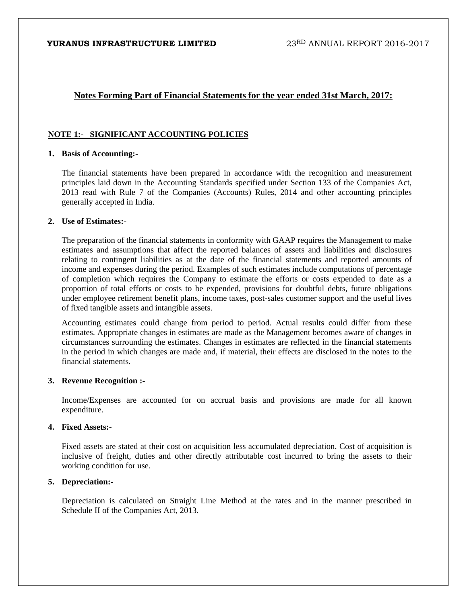# **Notes Forming Part of Financial Statements for the year ended 31st March, 2017:**

### **NOTE 1:- SIGNIFICANT ACCOUNTING POLICIES**

#### **1. Basis of Accounting:-**

The financial statements have been prepared in accordance with the recognition and measurement principles laid down in the Accounting Standards specified under Section 133 of the Companies Act, 2013 read with Rule 7 of the Companies (Accounts) Rules, 2014 and other accounting principles generally accepted in India.

#### **2. Use of Estimates:-**

The preparation of the financial statements in conformity with GAAP requires the Management to make estimates and assumptions that affect the reported balances of assets and liabilities and disclosures relating to contingent liabilities as at the date of the financial statements and reported amounts of income and expenses during the period. Examples of such estimates include computations of percentage of completion which requires the Company to estimate the efforts or costs expended to date as a proportion of total efforts or costs to be expended, provisions for doubtful debts, future obligations under employee retirement benefit plans, income taxes, post-sales customer support and the useful lives of fixed tangible assets and intangible assets.

Accounting estimates could change from period to period. Actual results could differ from these estimates. Appropriate changes in estimates are made as the Management becomes aware of changes in circumstances surrounding the estimates. Changes in estimates are reflected in the financial statements in the period in which changes are made and, if material, their effects are disclosed in the notes to the financial statements.

#### **3. Revenue Recognition :-**

Income/Expenses are accounted for on accrual basis and provisions are made for all known expenditure.

### **4. Fixed Assets:-**

Fixed assets are stated at their cost on acquisition less accumulated depreciation. Cost of acquisition is inclusive of freight, duties and other directly attributable cost incurred to bring the assets to their working condition for use.

#### **5. Depreciation:-**

Depreciation is calculated on Straight Line Method at the rates and in the manner prescribed in Schedule II of the Companies Act, 2013.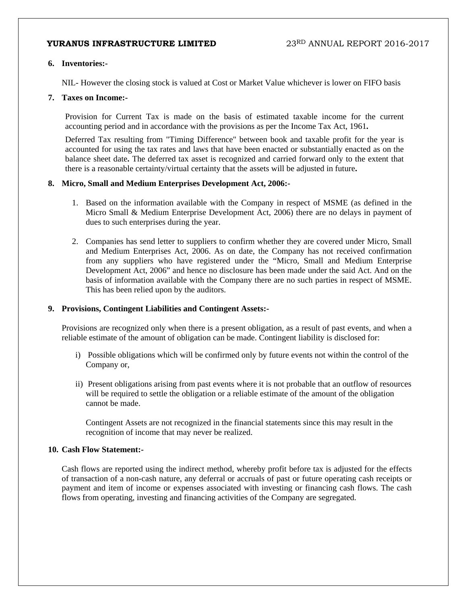### **6. Inventories:-**

NIL- However the closing stock is valued at Cost or Market Value whichever is lower on FIFO basis

#### **7. Taxes on Income:-**

Provision for Current Tax is made on the basis of estimated taxable income for the current accounting period and in accordance with the provisions as per the Income Tax Act, 1961**.**

Deferred Tax resulting from "Timing Difference" between book and taxable profit for the year is accounted for using the tax rates and laws that have been enacted or substantially enacted as on the balance sheet date**.** The deferred tax asset is recognized and carried forward only to the extent that there is a reasonable certainty/virtual certainty that the assets will be adjusted in future**.** 

#### **8. Micro, Small and Medium Enterprises Development Act, 2006:-**

- 1. Based on the information available with the Company in respect of MSME (as defined in the Micro Small & Medium Enterprise Development Act, 2006) there are no delays in payment of dues to such enterprises during the year.
- 2. Companies has send letter to suppliers to confirm whether they are covered under Micro, Small and Medium Enterprises Act, 2006. As on date, the Company has not received confirmation from any suppliers who have registered under the "Micro, Small and Medium Enterprise Development Act, 2006" and hence no disclosure has been made under the said Act. And on the basis of information available with the Company there are no such parties in respect of MSME. This has been relied upon by the auditors.

### **9. Provisions, Contingent Liabilities and Contingent Assets:-**

Provisions are recognized only when there is a present obligation, as a result of past events, and when a reliable estimate of the amount of obligation can be made. Contingent liability is disclosed for:

- i) Possible obligations which will be confirmed only by future events not within the control of the Company or,
- ii) Present obligations arising from past events where it is not probable that an outflow of resources will be required to settle the obligation or a reliable estimate of the amount of the obligation cannot be made.

Contingent Assets are not recognized in the financial statements since this may result in the recognition of income that may never be realized.

#### **10. Cash Flow Statement:-**

Cash flows are reported using the indirect method, whereby profit before tax is adjusted for the effects of transaction of a non-cash nature, any deferral or accruals of past or future operating cash receipts or payment and item of income or expenses associated with investing or financing cash flows. The cash flows from operating, investing and financing activities of the Company are segregated.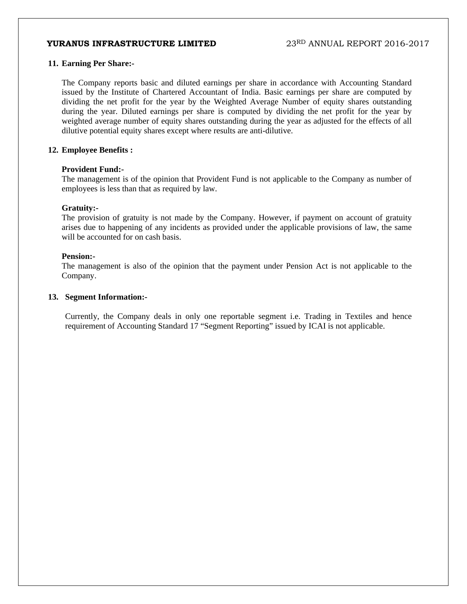#### **11. Earning Per Share:-**

The Company reports basic and diluted earnings per share in accordance with Accounting Standard issued by the Institute of Chartered Accountant of India. Basic earnings per share are computed by dividing the net profit for the year by the Weighted Average Number of equity shares outstanding during the year. Diluted earnings per share is computed by dividing the net profit for the year by weighted average number of equity shares outstanding during the year as adjusted for the effects of all dilutive potential equity shares except where results are anti-dilutive.

#### **12. Employee Benefits :**

#### **Provident Fund:-**

The management is of the opinion that Provident Fund is not applicable to the Company as number of employees is less than that as required by law.

#### **Gratuity:-**

The provision of gratuity is not made by the Company. However, if payment on account of gratuity arises due to happening of any incidents as provided under the applicable provisions of law, the same will be accounted for on cash basis.

#### **Pension:-**

The management is also of the opinion that the payment under Pension Act is not applicable to the Company.

#### **13. Segment Information:-**

Currently, the Company deals in only one reportable segment i.e. Trading in Textiles and hence requirement of Accounting Standard 17 "Segment Reporting" issued by ICAI is not applicable.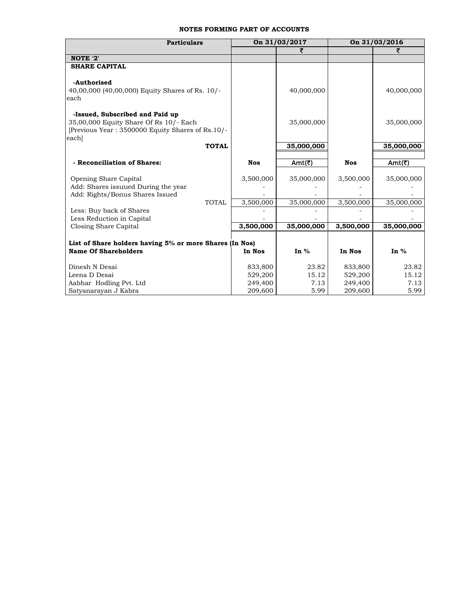#### **NOTES FORMING PART OF ACCOUNTS**

| <b>Particulars</b>                                                                         |              |            | On 31/03/2017 |            | On 31/03/2016 |  |
|--------------------------------------------------------------------------------------------|--------------|------------|---------------|------------|---------------|--|
|                                                                                            |              |            | ₹             |            |               |  |
| NOTE '2'                                                                                   |              |            |               |            |               |  |
| <b>SHARE CAPITAL</b>                                                                       |              |            |               |            |               |  |
|                                                                                            |              |            |               |            |               |  |
| -Authorised                                                                                |              |            |               |            |               |  |
| 40,00,000 (40,00,000) Equity Shares of Rs. 10/-                                            |              |            | 40,000,000    |            | 40,000,000    |  |
| each                                                                                       |              |            |               |            |               |  |
|                                                                                            |              |            |               |            |               |  |
| -Issued, Subscribed and Paid up                                                            |              |            | 35,000,000    |            |               |  |
| 35,00,000 Equity Share Of Rs 10/- Each<br>[Previous Year: 3500000 Equity Shares of Rs.10/- |              |            |               |            | 35,000,000    |  |
| each]                                                                                      |              |            |               |            |               |  |
|                                                                                            | <b>TOTAL</b> |            | 35,000,000    |            | 35,000,000    |  |
|                                                                                            |              |            |               |            |               |  |
| - Reconciliation of Shares:                                                                |              | <b>Nos</b> | Amt(₹)        | <b>Nos</b> | Amt(₹)        |  |
|                                                                                            |              |            |               |            |               |  |
| Opening Share Capital                                                                      |              | 3,500,000  | 35,000,000    | 3,500,000  | 35,000,000    |  |
| Add: Shares issuued During the year                                                        |              |            |               |            |               |  |
| Add: Rights/Bonus Shares Issued                                                            |              |            |               |            |               |  |
|                                                                                            | <b>TOTAL</b> | 3,500,000  | 35,000,000    | 3,500,000  | 35,000,000    |  |
| Less: Buy back of Shares                                                                   |              |            |               |            |               |  |
| Less Reduction in Capital<br>Closing Share Capital                                         |              | 3,500,000  | 35,000,000    | 3,500,000  | 35,000,000    |  |
|                                                                                            |              |            |               |            |               |  |
| List of Share holders having 5% or more Shares (In Nos)                                    |              |            |               |            |               |  |
| <b>Name Of Shareholders</b>                                                                |              | In Nos     | In $%$        | In Nos     | In $%$        |  |
|                                                                                            |              |            |               |            |               |  |
| Dinesh N Desai                                                                             |              | 833,800    | 23.82         | 833,800    | 23.82         |  |
| Leena D Desai                                                                              |              | 529,200    | 15.12         | 529,200    | 15.12         |  |
| Aabhar Hodling Pvt. Ltd                                                                    |              | 249,400    | 7.13          | 249,400    | 7.13          |  |
| Satyanarayan J Kabra                                                                       |              | 209,600    | 5.99          | 209,600    | 5.99          |  |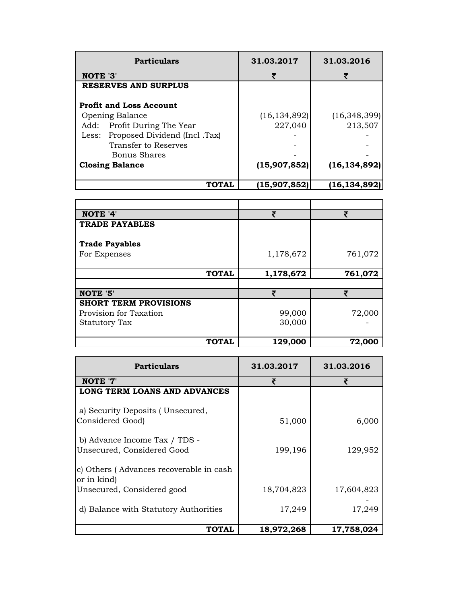| <b>Particulars</b>                                                                                                                                        | 31.03.2017                | 31.03.2016                |
|-----------------------------------------------------------------------------------------------------------------------------------------------------------|---------------------------|---------------------------|
| NOTE '3'                                                                                                                                                  | ₹                         |                           |
| <b>RESERVES AND SURPLUS</b>                                                                                                                               |                           |                           |
| <b>Profit and Loss Account</b><br><b>Opening Balance</b><br>Add: Profit During The Year<br>Proposed Dividend (Incl. Tax)<br>Less:<br>Transfer to Reserves | (16, 134, 892)<br>227,040 | (16, 348, 399)<br>213,507 |
| Bonus Shares<br><b>Closing Balance</b>                                                                                                                    | (15,907,852)              | (16, 134, 892)            |
| TOTAL                                                                                                                                                     | (15,907,852)              | (16,134,892)              |

| NOTE '4'                     |              | ₹         | ₹       |
|------------------------------|--------------|-----------|---------|
| <b>TRADE PAYABLES</b>        |              |           |         |
| <b>Trade Payables</b>        |              |           |         |
| For Expenses                 |              | 1,178,672 | 761,072 |
|                              | <b>TOTAL</b> | 1,178,672 | 761,072 |
|                              |              |           |         |
| NOTE '5'                     |              | ₹         | ₹       |
| <b>SHORT TERM PROVISIONS</b> |              |           |         |
| Provision for Taxation       |              | 99,000    | 72,000  |
| <b>Statutory Tax</b>         |              | 30,000    |         |
|                              | <b>TOTAL</b> | 129,000   | 72,000  |

| <b>Particulars</b>                                          | 31.03.2017 | 31.03.2016 |
|-------------------------------------------------------------|------------|------------|
| NOTE '7'                                                    | ₹          | ₹          |
| LONG TERM LOANS AND ADVANCES                                |            |            |
| a) Security Deposits (Unsecured,<br>Considered Good)        | 51,000     | 6,000      |
| b) Advance Income Tax / TDS -<br>Unsecured, Considered Good | 199,196    | 129,952    |
| c) Others (Advances recoverable in cash<br>or in kind)      |            |            |
| Unsecured, Considered good                                  | 18,704,823 | 17,604,823 |
| d) Balance with Statutory Authorities                       | 17,249     | 17,249     |
| <b>TOTAL</b>                                                | 18,972,268 | 17,758,024 |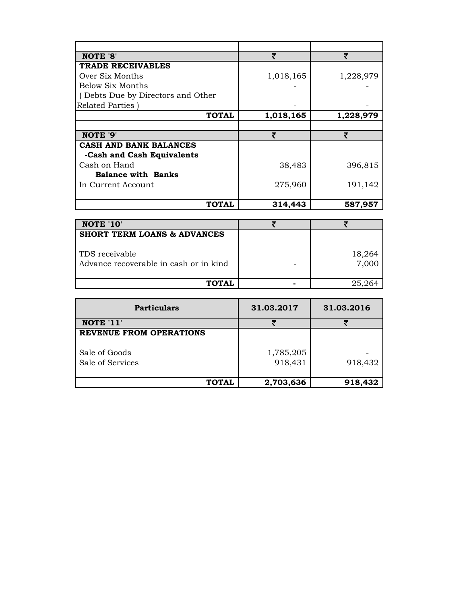| <b>NOTE '8'</b>                        | ₹         | ₹         |
|----------------------------------------|-----------|-----------|
| <b>TRADE RECEIVABLES</b>               |           |           |
| Over Six Months                        | 1,018,165 | 1,228,979 |
| <b>Below Six Months</b>                |           |           |
| (Debts Due by Directors and Other      |           |           |
| Related Parties)                       |           |           |
| <b>TOTAL</b>                           | 1,018,165 | 1,228,979 |
|                                        |           |           |
| NOTE '9'                               | ₹         | ₹         |
| <b>CASH AND BANK BALANCES</b>          |           |           |
| -Cash and Cash Equivalents             |           |           |
| Cash on Hand                           | 38,483    | 396,815   |
| <b>Balance with Banks</b>              |           |           |
| In Current Account                     | 275,960   | 191,142   |
|                                        |           |           |
| <b>TOTAL</b>                           | 314,443   | 587,957   |
|                                        |           |           |
| NOTE '10'                              | ₹         | ₹         |
| <b>SHORT TERM LOANS &amp; ADVANCES</b> |           |           |
|                                        |           |           |
| TDS receivable                         |           | 18,264    |
| Advance recoverable in cash or in kind |           | 7,000     |
|                                        |           |           |
| <b>TOTAL</b>                           |           | 25,264    |
|                                        |           |           |
|                                        |           |           |

| <b>Particulars</b>                | 31.03.2017           | 31.03.2016 |
|-----------------------------------|----------------------|------------|
| NOTE '11'                         |                      |            |
| <b>REVENUE FROM OPERATIONS</b>    |                      |            |
| Sale of Goods<br>Sale of Services | 1,785,205<br>918,431 | 918,432    |
| TOTAL                             | 2,703,636            | 918,432    |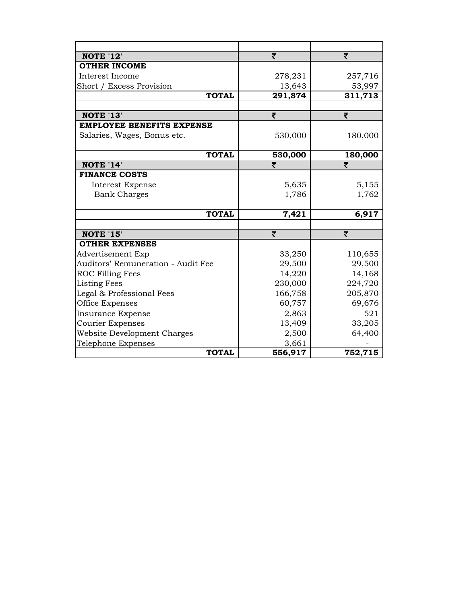| <b>NOTE '12'</b>                   | ₹       | ₹       |
|------------------------------------|---------|---------|
| <b>OTHER INCOME</b>                |         |         |
| Interest Income                    | 278,231 | 257,716 |
| Short / Excess Provision           | 13,643  | 53,997  |
| <b>TOTAL</b>                       | 291,874 | 311,713 |
|                                    |         |         |
| <b>NOTE '13'</b>                   | ₹       | ₹       |
| <b>EMPLOYEE BENEFITS EXPENSE</b>   |         |         |
| Salaries, Wages, Bonus etc.        | 530,000 | 180,000 |
|                                    |         |         |
| <b>TOTAL</b>                       | 530,000 | 180,000 |
| NOTE '14'                          | ₹       | ₹       |
| <b>FINANCE COSTS</b>               |         |         |
| Interest Expense                   | 5,635   | 5,155   |
| <b>Bank Charges</b>                | 1,786   | 1,762   |
|                                    |         |         |
| <b>TOTAL</b>                       | 7,421   | 6,917   |
|                                    |         |         |
| <b>NOTE '15'</b>                   | ₹       | ₹       |
| <b>OTHER EXPENSES</b>              |         |         |
| Advertisement Exp                  | 33,250  | 110,655 |
| Auditors' Remuneration - Audit Fee | 29,500  | 29,500  |
| ROC Filling Fees                   | 14,220  | 14,168  |
| <b>Listing Fees</b>                | 230,000 | 224,720 |
| Legal & Professional Fees          | 166,758 | 205,870 |
| Office Expenses                    | 60,757  | 69,676  |
| <b>Insurance Expense</b>           | 2,863   | 521     |
| <b>Courier Expenses</b>            | 13,409  | 33,205  |
| Website Development Charges        | 2,500   | 64,400  |
| Telephone Expenses                 | 3,661   |         |
| <b>TOTAL</b>                       | 556,917 | 752,715 |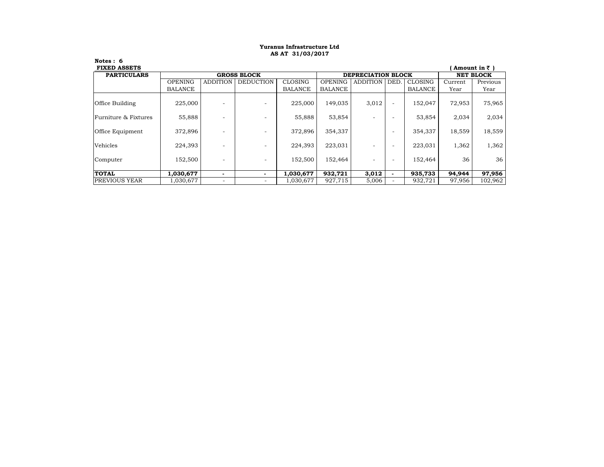#### **AS AT 31/03/2017 Yuranus Infrastructure Ltd**

| <b>FIXED ASSETS</b>    |                    |                 |                          |                |                    |                 |                          |                  |         | Amount in $\bar{z}$ |
|------------------------|--------------------|-----------------|--------------------------|----------------|--------------------|-----------------|--------------------------|------------------|---------|---------------------|
| <b>PARTICULARS</b>     | <b>GROSS BLOCK</b> |                 |                          |                | DEPRECIATION BLOCK |                 |                          | <b>NET BLOCK</b> |         |                     |
|                        | <b>OPENING</b>     | <b>ADDITION</b> | <b>DEDUCTION</b>         | <b>CLOSING</b> | <b>OPENING</b>     | <b>ADDITION</b> | DED.                     | <b>CLOSING</b>   | Current | Previous            |
|                        | <b>BALANCE</b>     |                 |                          | <b>BALANCE</b> | <b>BALANCE</b>     |                 |                          | BALANCE          | Year    | Year                |
| <b>Office Building</b> | 225,000            |                 | $\overline{\phantom{a}}$ | 225,000        | 149,035            | 3,012           | $\overline{\phantom{a}}$ | 152,047          | 72,953  | 75,965              |
| Furniture & Fixtures   | 55,888             |                 | $\overline{\phantom{a}}$ | 55,888         | 53,854             |                 | $\overline{\phantom{a}}$ | 53,854           | 2,034   | 2,034               |
| Office Equipment       | 372,896            |                 | $\overline{\phantom{a}}$ | 372,896        | 354,337            |                 | $\overline{\phantom{a}}$ | 354,337          | 18,559  | 18,559              |
| Vehicles               | 224.393            |                 | -                        | 224,393        | 223,031            |                 | $\overline{\phantom{a}}$ | 223,031          | 1,362   | 1,362               |
| Computer               | 152,500            |                 | $\overline{\phantom{a}}$ | 152,500        | 152,464            |                 | $\overline{\phantom{a}}$ | 152,464          | 36      | 36                  |
| <b>TOTAL</b>           | 1,030,677          |                 |                          | 1,030,677      | 932,721            | 3,012           | $\overline{\phantom{a}}$ | 935,733          | 94,944  | 97,956              |
| <b>PREVIOUS YEAR</b>   | 1,030,677          |                 | $\overline{\phantom{a}}$ | 1,030,677      | 927,715            | 5,006           |                          | 932,721          | 97,956  | 102,962             |

**Notes : 6**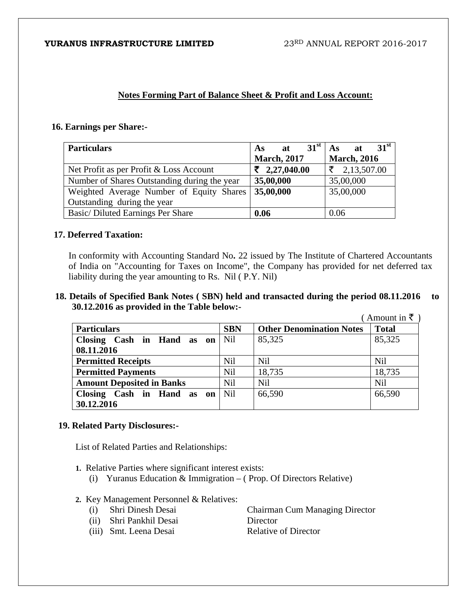# **Notes Forming Part of Balance Sheet & Profit and Loss Account:**

# **16. Earnings per Share:-**

| <b>Particulars</b>                           | $31^{\rm st}$<br>at<br><b>As</b> | 31 <sup>st</sup><br>As<br>at |
|----------------------------------------------|----------------------------------|------------------------------|
|                                              | <b>March</b> , 2017              | <b>March, 2016</b>           |
| Net Profit as per Profit & Loss Account      | $\bar{z}$ 2,27,040.00            | $\bar{z}$ 2,13,507.00        |
| Number of Shares Outstanding during the year | 35,00,000                        | 35,00,000                    |
| Weighted Average Number of Equity Shares     | 35,00,000                        | 35,00,000                    |
| Outstanding during the year                  |                                  |                              |
| Basic/Diluted Earnings Per Share             | 0.06                             | 0.06                         |

# **17. Deferred Taxation:**

In conformity with Accounting Standard No**.** 22 issued by The Institute of Chartered Accountants of India on "Accounting for Taxes on Income", the Company has provided for net deferred tax liability during the year amounting to Rs. Nil ( P.Y. Nil)

 **18. Details of Specified Bank Notes ( SBN) held and transacted during the period 08.11.2016 to 30.12.2016 as provided in the Table below:-** 

|                                  |            |                                 | Amount in $\bar{\tau}$ |
|----------------------------------|------------|---------------------------------|------------------------|
| <b>Particulars</b>               | <b>SBN</b> | <b>Other Denomination Notes</b> | <b>Total</b>           |
| Closing Cash in Hand as on       | Nil        | 85,325                          | 85,325                 |
| 08.11.2016                       |            |                                 |                        |
| <b>Permitted Receipts</b>        | <b>Nil</b> | <b>Nil</b>                      | Nil                    |
| <b>Permitted Payments</b>        | <b>Nil</b> | 18,735                          | 18,735                 |
| <b>Amount Deposited in Banks</b> | <b>Nil</b> | <b>Nil</b>                      | <b>Nil</b>             |
| Closing Cash in Hand as on       | <b>Nil</b> | 66,590                          | 66,590                 |
| 30.12.2016                       |            |                                 |                        |

# **19. Related Party Disclosures:-**

List of Related Parties and Relationships:

- **1.** Relative Parties where significant interest exists:
	- (i) Yuranus Education & Immigration ( Prop. Of Directors Relative)
- **2.** Key Management Personnel & Relatives:
	-
	- (ii) Shri Pankhil Desai Director
	- (i) Shri Dinesh Desai Chairman Cum Managing Director
	- (iii) Smt. Leena Desai Relative of Director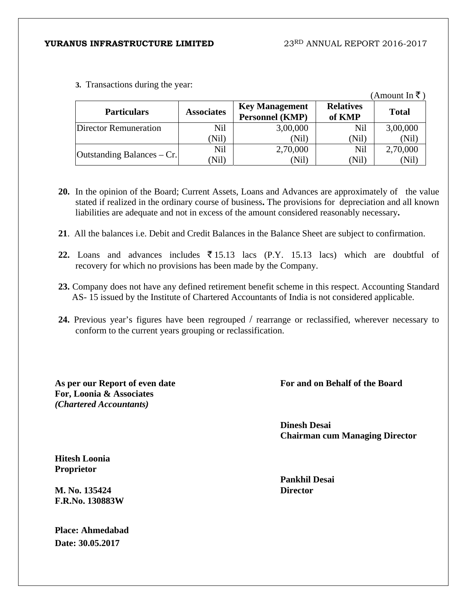**3.** Transactions during the year:

|                              |                   |                                                 |                            | $(A$ mount In ₹) |
|------------------------------|-------------------|-------------------------------------------------|----------------------------|------------------|
| <b>Particulars</b>           | <b>Associates</b> | <b>Key Management</b><br><b>Personnel (KMP)</b> | <b>Relatives</b><br>of KMP | <b>Total</b>     |
| <b>Director Remuneration</b> | Nil               | 3,00,000                                        | Nil                        | 3,00,000         |
|                              | (Nil)             | (Nil)                                           | (Nil)                      | (Nil)            |
|                              | Nil               | 2,70,000                                        | Nil                        | 2,70,000         |
| Outstanding Balances – Cr.   | (Nil              | (Nil)                                           | (Nil)                      | (Nil)            |

- **20.** In the opinion of the Board; Current Assets, Loans and Advances are approximately of the value stated if realized in the ordinary course of business**.** The provisions for depreciation and all known liabilities are adequate and not in excess of the amount considered reasonably necessary**.**
- **21**. All the balances i.e. Debit and Credit Balances in the Balance Sheet are subject to confirmation.
- **22.** Loans and advances includes  $\overline{5}$  15.13 lacs (P.Y. 15.13 lacs) which are doubtful of recovery for which no provisions has been made by the Company.
- **23.** Company does not have any defined retirement benefit scheme in this respect. Accounting Standard AS- 15 issued by the Institute of Chartered Accountants of India is not considered applicable.
- **24.** Previous year's figures have been regrouped / rearrange or reclassified, wherever necessary to conform to the current years grouping or reclassification.

**As per our Report of even date For, Loonia & Associates**  *(Chartered Accountants)* 

**For and on Behalf of the Board**

**Dinesh Desai Chairman cum Managing Director** 

**Hitesh Loonia Proprietor** 

**M. No. 135424 F.R.No. 130883W** 

**Place: Ahmedabad Date: 30.05.2017** 

**Pankhil Desai Director**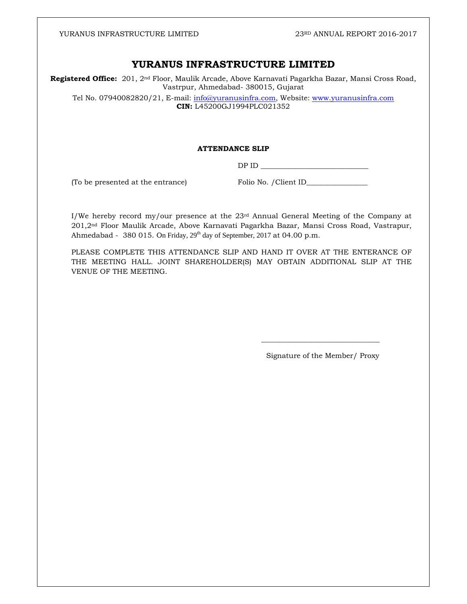# **YURANUS INFRASTRUCTURE LIMITED**

**Registered Office:** 201, 2nd Floor, Maulik Arcade, Above Karnavati Pagarkha Bazar, Mansi Cross Road, Vastrpur, Ahmedabad- 380015, Gujarat

Tel No. 07940082820/21, E-mail: info@yuranusinfra.com, Website: www.yuranusinfra.com **CIN:** L45200GJ1994PLC021352

#### **ATTENDANCE SLIP**

DP ID \_\_\_\_\_\_\_\_\_\_\_\_\_\_\_\_\_\_\_\_\_\_\_\_\_\_\_\_\_\_

(To be presented at the entrance) Folio No. / Client ID\_\_\_\_\_\_\_\_\_\_\_\_\_\_\_\_\_\_\_\_\_\_\_\_\_\_

I/We hereby record my/our presence at the  $23<sup>rd</sup>$  Annual General Meeting of the Company at 201,2nd Floor Maulik Arcade, Above Karnavati Pagarkha Bazar, Mansi Cross Road, Vastrapur, Ahmedabad - 380 015. On Friday, 29<sup>th</sup> day of September, 2017 at 04.00 p.m.

PLEASE COMPLETE THIS ATTENDANCE SLIP AND HAND IT OVER AT THE ENTERANCE OF THE MEETING HALL. JOINT SHAREHOLDER(S) MAY OBTAIN ADDITIONAL SLIP AT THE VENUE OF THE MEETING.

 $\overline{\phantom{a}}$  , and the contract of the contract of the contract of the contract of the contract of the contract of the contract of the contract of the contract of the contract of the contract of the contract of the contrac

Signature of the Member/ Proxy